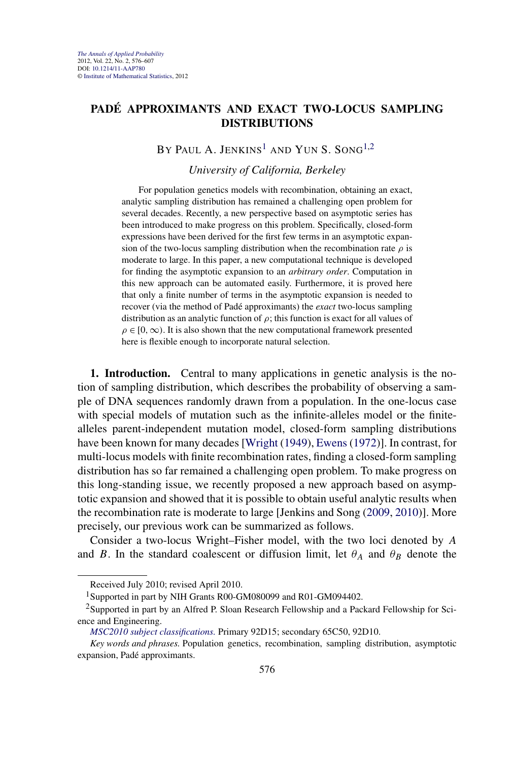## <span id="page-0-0"></span>**PADÉ APPROXIMANTS AND EXACT TWO-LOCUS SAMPLING DISTRIBUTIONS**

# BY PAUL A. JENKINS<sup>1</sup> AND YUN S. SONG<sup>1,2</sup>

## *University of California, Berkeley*

For population genetics models with recombination, obtaining an exact, analytic sampling distribution has remained a challenging open problem for several decades. Recently, a new perspective based on asymptotic series has been introduced to make progress on this problem. Specifically, closed-form expressions have been derived for the first few terms in an asymptotic expansion of the two-locus sampling distribution when the recombination rate  $\rho$  is moderate to large. In this paper, a new computational technique is developed for finding the asymptotic expansion to an *arbitrary order*. Computation in this new approach can be automated easily. Furthermore, it is proved here that only a finite number of terms in the asymptotic expansion is needed to recover (via the method of Padé approximants) the *exact* two-locus sampling distribution as an analytic function of  $\rho$ ; this function is exact for all values of  $\rho \in [0, \infty)$ . It is also shown that the new computational framework presented here is flexible enough to incorporate natural selection.

**1. Introduction.** Central to many applications in genetic analysis is the notion of sampling distribution, which describes the probability of observing a sample of DNA sequences randomly drawn from a population. In the one-locus case with special models of mutation such as the infinite-alleles model or the finitealleles parent-independent mutation model, closed-form sampling distributions have been known for many decades [\[Wright](#page-31-0) [\(1949\)](#page-31-0), [Ewens](#page-30-0) [\(1972\)](#page-30-0)]. In contrast, for multi-locus models with finite recombination rates, finding a closed-form sampling distribution has so far remained a challenging open problem. To make progress on this long-standing issue, we recently proposed a new approach based on asymptotic expansion and showed that it is possible to obtain useful analytic results when the recombination rate is moderate to large [Jenkins and Song [\(2009,](#page-31-0) [2010\)](#page-31-0)]. More precisely, our previous work can be summarized as follows.

Consider a two-locus Wright–Fisher model, with the two loci denoted by *A* and *B*. In the standard coalescent or diffusion limit, let  $\theta_A$  and  $\theta_B$  denote the

Received July 2010; revised April 2010.

<sup>&</sup>lt;sup>1</sup>Supported in part by NIH Grants R00-GM080099 and R01-GM094402.

 $2$ Supported in part by an Alfred P. Sloan Research Fellowship and a Packard Fellowship for Science and Engineering.

*[MSC2010 subject classifications.](http://www.ams.org/mathscinet/msc/msc2010.html)* Primary 92D15; secondary 65C50, 92D10.

*Key words and phrases.* Population genetics, recombination, sampling distribution, asymptotic expansion, Padé approximants.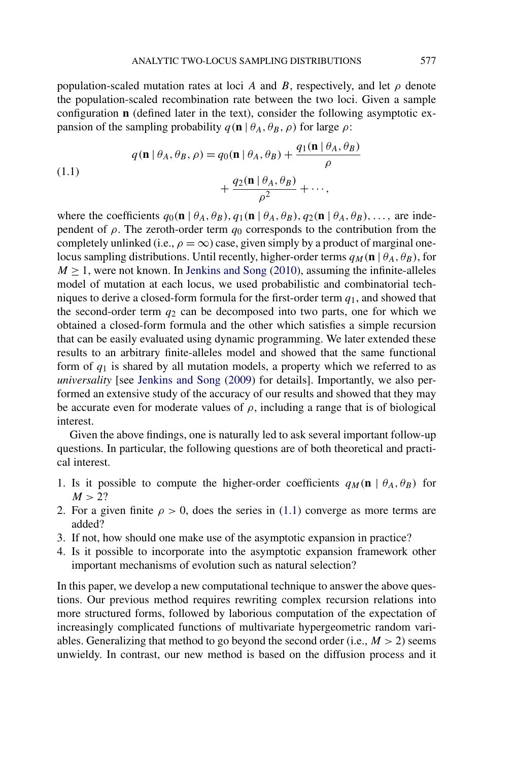<span id="page-1-0"></span>population-scaled mutation rates at loci *A* and *B*, respectively, and let  $\rho$  denote the population-scaled recombination rate between the two loci. Given a sample configuration **n** (defined later in the text), consider the following asymptotic expansion of the sampling probability  $q(\mathbf{n} | \theta_A, \theta_B, \rho)$  for large  $\rho$ :

(1.1)  

$$
q(\mathbf{n} | \theta_A, \theta_B, \rho) = q_0(\mathbf{n} | \theta_A, \theta_B) + \frac{q_1(\mathbf{n} | \theta_A, \theta_B)}{\rho} + \frac{q_2(\mathbf{n} | \theta_A, \theta_B)}{\rho^2} + \cdots,
$$

where the coefficients  $q_0(\mathbf{n} | \theta_A, \theta_B), q_1(\mathbf{n} | \theta_A, \theta_B), q_2(\mathbf{n} | \theta_A, \theta_B), \dots$ , are independent of  $\rho$ . The zeroth-order term  $q_0$  corresponds to the contribution from the completely unlinked (i.e.,  $\rho = \infty$ ) case, given simply by a product of marginal onelocus sampling distributions. Until recently, higher-order terms  $q_M(\mathbf{n} | \theta_A, \theta_B)$ , for  $M \geq 1$ , were not known. In [Jenkins and Song](#page-31-0) [\(2010\)](#page-31-0), assuming the infinite-alleles model of mutation at each locus, we used probabilistic and combinatorial techniques to derive a closed-form formula for the first-order term *q*1, and showed that the second-order term  $q_2$  can be decomposed into two parts, one for which we obtained a closed-form formula and the other which satisfies a simple recursion that can be easily evaluated using dynamic programming. We later extended these results to an arbitrary finite-alleles model and showed that the same functional form of  $q_1$  is shared by all mutation models, a property which we referred to as *universality* [see [Jenkins and Song](#page-31-0) [\(2009\)](#page-31-0) for details]. Importantly, we also performed an extensive study of the accuracy of our results and showed that they may be accurate even for moderate values of  $\rho$ , including a range that is of biological interest.

Given the above findings, one is naturally led to ask several important follow-up questions. In particular, the following questions are of both theoretical and practical interest.

- 1. Is it possible to compute the higher-order coefficients  $q_M(\mathbf{n} | \theta_A, \theta_B)$  for  $M > 2?$
- 2. For a given finite  $\rho > 0$ , does the series in (1.1) converge as more terms are added?
- 3. If not, how should one make use of the asymptotic expansion in practice?
- 4. Is it possible to incorporate into the asymptotic expansion framework other important mechanisms of evolution such as natural selection?

In this paper, we develop a new computational technique to answer the above questions. Our previous method requires rewriting complex recursion relations into more structured forms, followed by laborious computation of the expectation of increasingly complicated functions of multivariate hypergeometric random variables. Generalizing that method to go beyond the second order (i.e.,  $M > 2$ ) seems unwieldy. In contrast, our new method is based on the diffusion process and it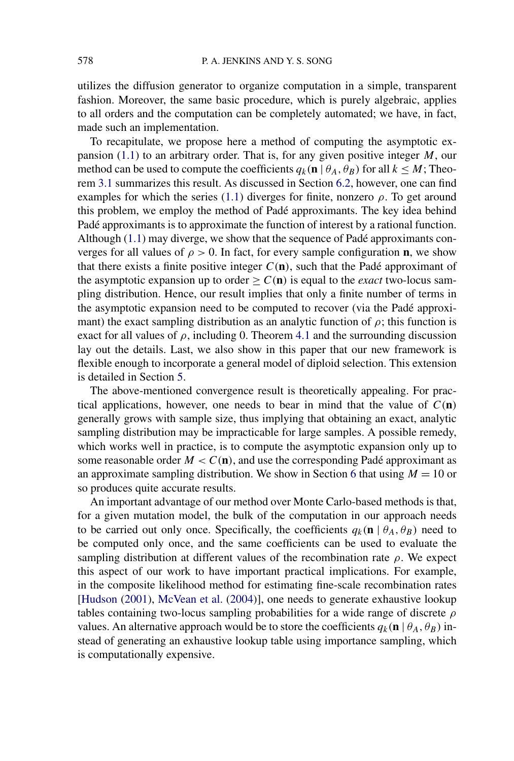utilizes the diffusion generator to organize computation in a simple, transparent fashion. Moreover, the same basic procedure, which is purely algebraic, applies to all orders and the computation can be completely automated; we have, in fact, made such an implementation.

To recapitulate, we propose here a method of computing the asymptotic expansion [\(1.1\)](#page-1-0) to an arbitrary order. That is, for any given positive integer *M*, our method can be used to compute the coefficients  $q_k(\mathbf{n} | \theta_A, \theta_B)$  for all  $k \leq M$ ; Theorem [3.1](#page-11-0) summarizes this result. As discussed in Section [6.2,](#page-19-0) however, one can find examples for which the series [\(1.1\)](#page-1-0) diverges for finite, nonzero  $\rho$ . To get around this problem, we employ the method of Padé approximants. The key idea behind Padé approximants is to approximate the function of interest by a rational function. Although [\(1.1\)](#page-1-0) may diverge, we show that the sequence of Padé approximants converges for all values of  $\rho > 0$ . In fact, for every sample configuration **n**, we show that there exists a finite positive integer  $C(n)$ , such that the Padé approximant of the asymptotic expansion up to order  $\geq C(n)$  is equal to the *exact* two-locus sampling distribution. Hence, our result implies that only a finite number of terms in the asymptotic expansion need to be computed to recover (via the Padé approximant) the exact sampling distribution as an analytic function of  $\rho$ ; this function is exact for all values of  $\rho$ , including 0. Theorem [4.1](#page-15-0) and the surrounding discussion lay out the details. Last, we also show in this paper that our new framework is flexible enough to incorporate a general model of diploid selection. This extension is detailed in Section [5.](#page-15-0)

The above-mentioned convergence result is theoretically appealing. For practical applications, however, one needs to bear in mind that the value of  $C(n)$ generally grows with sample size, thus implying that obtaining an exact, analytic sampling distribution may be impracticable for large samples. A possible remedy, which works well in practice, is to compute the asymptotic expansion only up to some reasonable order  $M < C(n)$ , and use the corresponding Padé approximant as an approximate sampling distribution. We show in Section [6](#page-18-0) that using  $M = 10$  or so produces quite accurate results.

An important advantage of our method over Monte Carlo-based methods is that, for a given mutation model, the bulk of the computation in our approach needs to be carried out only once. Specifically, the coefficients  $q_k(\mathbf{n} | \theta_A, \theta_B)$  need to be computed only once, and the same coefficients can be used to evaluate the sampling distribution at different values of the recombination rate *ρ*. We expect this aspect of our work to have important practical implications. For example, in the composite likelihood method for estimating fine-scale recombination rates [\[Hudson](#page-31-0) [\(2001\)](#page-31-0), [McVean et al.](#page-31-0) [\(2004\)](#page-31-0)], one needs to generate exhaustive lookup tables containing two-locus sampling probabilities for a wide range of discrete *ρ* values. An alternative approach would be to store the coefficients  $q_k(\mathbf{n} | \theta_A, \theta_B)$  instead of generating an exhaustive lookup table using importance sampling, which is computationally expensive.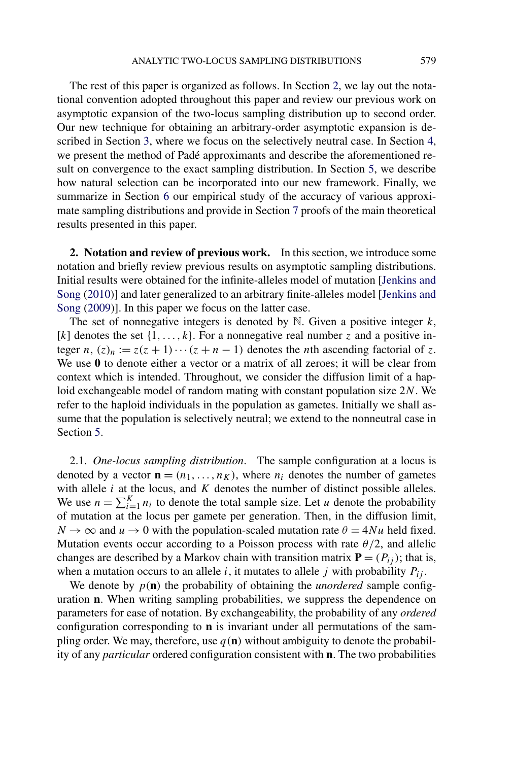The rest of this paper is organized as follows. In Section 2, we lay out the notational convention adopted throughout this paper and review our previous work on asymptotic expansion of the two-locus sampling distribution up to second order. Our new technique for obtaining an arbitrary-order asymptotic expansion is described in Section [3,](#page-7-0) where we focus on the selectively neutral case. In Section [4,](#page-13-0) we present the method of Padé approximants and describe the aforementioned result on convergence to the exact sampling distribution. In Section [5,](#page-15-0) we describe how natural selection can be incorporated into our new framework. Finally, we summarize in Section [6](#page-18-0) our empirical study of the accuracy of various approximate sampling distributions and provide in Section [7](#page-24-0) proofs of the main theoretical results presented in this paper.

**2. Notation and review of previous work.** In this section, we introduce some notation and briefly review previous results on asymptotic sampling distributions. Initial results were obtained for the infinite-alleles model of mutation [\[Jenkins and](#page-31-0) [Song](#page-31-0) [\(2010\)](#page-31-0)] and later generalized to an arbitrary finite-alleles model [\[Jenkins and](#page-31-0) [Song](#page-31-0) [\(2009\)](#page-31-0)]. In this paper we focus on the latter case.

The set of nonnegative integers is denoted by N. Given a positive integer *k*, [*k*] denotes the set  $\{1, \ldots, k\}$ . For a nonnegative real number *z* and a positive integer *n*,  $(z)_n := z(z+1)\cdots(z+n-1)$  denotes the *n*th ascending factorial of *z*. We use **0** to denote either a vector or a matrix of all zeroes; it will be clear from context which is intended. Throughout, we consider the diffusion limit of a haploid exchangeable model of random mating with constant population size 2*N*. We refer to the haploid individuals in the population as gametes. Initially we shall assume that the population is selectively neutral; we extend to the nonneutral case in Section [5.](#page-15-0)

2.1. *One-locus sampling distribution*. The sample configuration at a locus is denoted by a vector  $\mathbf{n} = (n_1, \dots, n_K)$ , where  $n_i$  denotes the number of gametes with allele *i* at the locus, and *K* denotes the number of distinct possible alleles. We use  $n = \sum_{i=1}^{K} n_i$  to denote the total sample size. Let *u* denote the probability of mutation at the locus per gamete per generation. Then, in the diffusion limit,  $N \to \infty$  and  $u \to 0$  with the population-scaled mutation rate  $\theta = 4Nu$  held fixed. Mutation events occur according to a Poisson process with rate *θ/*2, and allelic changes are described by a Markov chain with transition matrix  $P = (P_{ij})$ ; that is, when a mutation occurs to an allele *i*, it mutates to allele *j* with probability  $P_{ij}$ .

We denote by  $p(n)$  the probability of obtaining the *unordered* sample configuration **n**. When writing sampling probabilities, we suppress the dependence on parameters for ease of notation. By exchangeability, the probability of any *ordered* configuration corresponding to **n** is invariant under all permutations of the sampling order. We may, therefore, use  $q(n)$  without ambiguity to denote the probability of any *particular* ordered configuration consistent with **n**. The two probabilities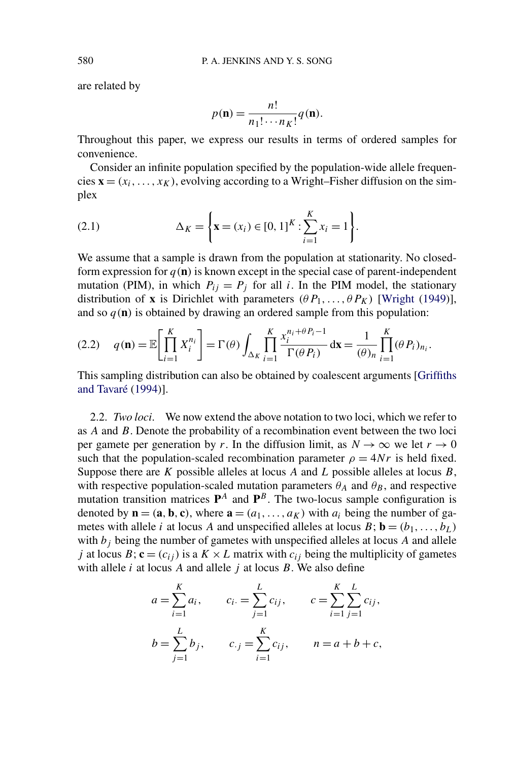are related by

$$
p(\mathbf{n}) = \frac{n!}{n_1! \cdots n_K!} q(\mathbf{n}).
$$

Throughout this paper, we express our results in terms of ordered samples for convenience.

Consider an infinite population specified by the population-wide allele frequencies  $\mathbf{x} = (x_i, \dots, x_K)$ , evolving according to a Wright–Fisher diffusion on the simplex

(2.1) 
$$
\Delta_K = \left\{ \mathbf{x} = (x_i) \in [0, 1]^K : \sum_{i=1}^K x_i = 1 \right\}.
$$

We assume that a sample is drawn from the population at stationarity. No closedform expression for  $q(n)$  is known except in the special case of parent-independent mutation (PIM), in which  $P_{ij} = P_j$  for all *i*. In the PIM model, the stationary distribution of **x** is Dirichlet with parameters  $(\theta P_1, \ldots, \theta P_K)$  [\[Wright](#page-31-0) [\(1949\)](#page-31-0)], and so  $q(\mathbf{n})$  is obtained by drawing an ordered sample from this population:

$$
(2.2) \quad q(\mathbf{n}) = \mathbb{E}\bigg[\prod_{i=1}^K X_i^{n_i}\bigg] = \Gamma(\theta) \int_{\Delta_K} \prod_{i=1}^K \frac{x_i^{n_i + \theta P_i - 1}}{\Gamma(\theta P_i)} d\mathbf{x} = \frac{1}{(\theta)_n} \prod_{i=1}^K (\theta P_i)_{n_i}.
$$

This sampling distribution can also be obtained by coalescent arguments [\[Griffiths](#page-30-0) [and Tavaré](#page-30-0) [\(1994\)](#page-30-0)].

2.2. *Two loci*. We now extend the above notation to two loci, which we refer to as *A* and *B*. Denote the probability of a recombination event between the two loci per gamete per generation by *r*. In the diffusion limit, as  $N \to \infty$  we let  $r \to 0$ such that the population-scaled recombination parameter  $\rho = 4Nr$  is held fixed. Suppose there are *K* possible alleles at locus *A* and *L* possible alleles at locus *B*, with respective population-scaled mutation parameters  $\theta_A$  and  $\theta_B$ , and respective mutation transition matrices  $P^A$  and  $P^B$ . The two-locus sample configuration is denoted by  $\mathbf{n} = (\mathbf{a}, \mathbf{b}, \mathbf{c})$ , where  $\mathbf{a} = (a_1, \dots, a_K)$  with  $a_i$  being the number of gametes with allele *i* at locus *A* and unspecified alleles at locus  $B$ ;  $\mathbf{b} = (b_1, \ldots, b_L)$ with  $b_j$  being the number of gametes with unspecified alleles at locus  $A$  and allele *j* at locus *B*;  $\mathbf{c} = (c_{ij})$  is a *K* × *L* matrix with  $c_{ij}$  being the multiplicity of gametes with allele *i* at locus *A* and allele *j* at locus *B*. We also define

$$
a = \sum_{i=1}^{K} a_i, \qquad c_i = \sum_{j=1}^{L} c_{ij}, \qquad c = \sum_{i=1}^{K} \sum_{j=1}^{L} c_{ij},
$$
  

$$
b = \sum_{j=1}^{L} b_j, \qquad c_{\cdot j} = \sum_{i=1}^{K} c_{ij}, \qquad n = a + b + c,
$$

<span id="page-4-0"></span>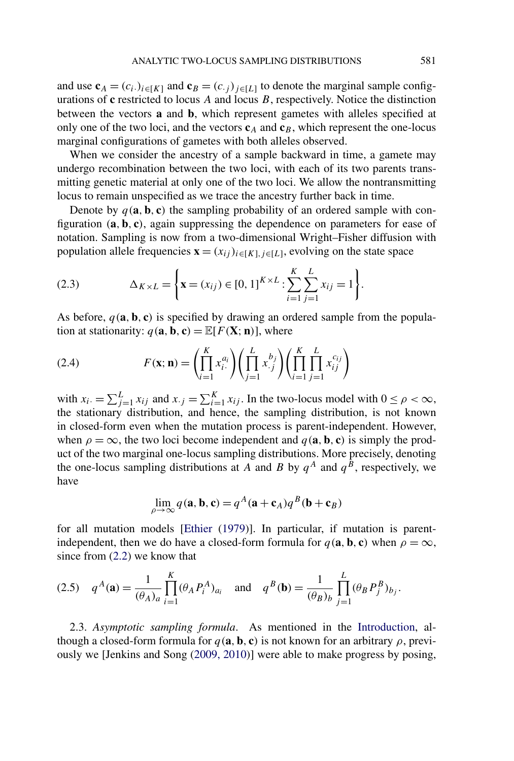<span id="page-5-0"></span>and use  $\mathbf{c}_A = (c_i)_{i \in [K]}$  and  $\mathbf{c}_B = (c_i)_{i \in [L]}$  to denote the marginal sample configurations of **c** restricted to locus *A* and locus *B*, respectively. Notice the distinction between the vectors **a** and **b**, which represent gametes with alleles specified at only one of the two loci, and the vectors  $c_A$  and  $c_B$ , which represent the one-locus marginal configurations of gametes with both alleles observed.

When we consider the ancestry of a sample backward in time, a gamete may undergo recombination between the two loci, with each of its two parents transmitting genetic material at only one of the two loci. We allow the nontransmitting locus to remain unspecified as we trace the ancestry further back in time.

Denote by  $q(\mathbf{a}, \mathbf{b}, \mathbf{c})$  the sampling probability of an ordered sample with configuration *(***a***,* **b***,* **c***)*, again suppressing the dependence on parameters for ease of notation. Sampling is now from a two-dimensional Wright–Fisher diffusion with population allele frequencies  $\mathbf{x} = (x_{ij})_{i \in [K], j \in [L]}$ , evolving on the state space

(2.3) 
$$
\Delta_{K \times L} = \left\{ \mathbf{x} = (x_{ij}) \in [0, 1]^{K \times L} : \sum_{i=1}^{K} \sum_{j=1}^{L} x_{ij} = 1 \right\}.
$$

As before,  $q(\mathbf{a}, \mathbf{b}, \mathbf{c})$  is specified by drawing an ordered sample from the population at stationarity:  $q(\mathbf{a}, \mathbf{b}, \mathbf{c}) = \mathbb{E}[F(\mathbf{X}; \mathbf{n})]$ , where

(2.4) 
$$
F(\mathbf{x}; \mathbf{n}) = \left(\prod_{i=1}^{K} x_{i}^{a_{i}}\right) \left(\prod_{j=1}^{L} x_{.j}^{b_{j}}\right) \left(\prod_{i=1}^{K} \prod_{j=1}^{L} x_{ij}^{c_{ij}}\right)
$$

with  $x_i = \sum_{j=1}^{L} x_{ij}$  and  $x_{\cdot j} = \sum_{i=1}^{K} x_{ij}$ . In the two-locus model with  $0 \le \rho < \infty$ , the stationary distribution, and hence, the sampling distribution, is not known in closed-form even when the mutation process is parent-independent. However, when  $\rho = \infty$ , the two loci become independent and  $q(\mathbf{a}, \mathbf{b}, \mathbf{c})$  is simply the product of the two marginal one-locus sampling distributions. More precisely, denoting the one-locus sampling distributions at *A* and *B* by  $q^A$  and  $q^B$ , respectively, we have

$$
\lim_{\rho \to \infty} q(\mathbf{a}, \mathbf{b}, \mathbf{c}) = q^A (\mathbf{a} + \mathbf{c}_A) q^B (\mathbf{b} + \mathbf{c}_B)
$$

for all mutation models [\[Ethier](#page-30-0) [\(1979\)](#page-30-0)]. In particular, if mutation is parentindependent, then we do have a closed-form formula for  $q(\mathbf{a}, \mathbf{b}, \mathbf{c})$  when  $\rho = \infty$ , since from [\(2.2\)](#page-4-0) we know that

(2.5) 
$$
q^A(\mathbf{a}) = \frac{1}{(\theta_A)_a} \prod_{i=1}^K (\theta_A P_i^A)_{a_i}
$$
 and  $q^B(\mathbf{b}) = \frac{1}{(\theta_B)_b} \prod_{j=1}^L (\theta_B P_j^B)_{b_j}$ .

2.3. *Asymptotic sampling formula*. As mentioned in the [Introduction,](#page-0-0) although a closed-form formula for  $q(\mathbf{a}, \mathbf{b}, \mathbf{c})$  is not known for an arbitrary  $\rho$ , previously we [Jenkins and Song [\(2009, 2010\)](#page-31-0)] were able to make progress by posing,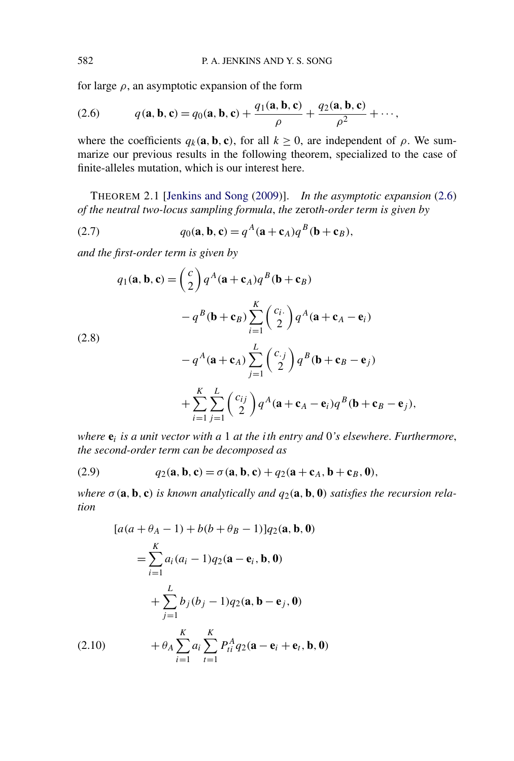for large  $\rho$ , an asymptotic expansion of the form

(2.6) 
$$
q(\mathbf{a}, \mathbf{b}, \mathbf{c}) = q_0(\mathbf{a}, \mathbf{b}, \mathbf{c}) + \frac{q_1(\mathbf{a}, \mathbf{b}, \mathbf{c})}{\rho} + \frac{q_2(\mathbf{a}, \mathbf{b}, \mathbf{c})}{\rho^2} + \cdots,
$$

where the coefficients  $q_k(\mathbf{a}, \mathbf{b}, \mathbf{c})$ , for all  $k \geq 0$ , are independent of  $\rho$ . We summarize our previous results in the following theorem, specialized to the case of finite-alleles mutation, which is our interest here.

THEOREM 2.1 [\[Jenkins and Song](#page-31-0) [\(2009\)](#page-31-0)]. *In the asymptotic expansion* (2.6) *of the neutral two-locus sampling formula*, *the* zero*th-order term is given by*

(2.7) 
$$
q_0(\mathbf{a}, \mathbf{b}, \mathbf{c}) = q^A(\mathbf{a} + \mathbf{c}_A)q^B(\mathbf{b} + \mathbf{c}_B),
$$

*and the first-order term is given by*

(2.8)  
\n
$$
q_1(\mathbf{a}, \mathbf{b}, \mathbf{c}) = {c \choose 2} q^A (\mathbf{a} + \mathbf{c}_A) q^B (\mathbf{b} + \mathbf{c}_B)
$$
\n
$$
-q^B (\mathbf{b} + \mathbf{c}_B) \sum_{i=1}^K {c_i \choose 2} q^A (\mathbf{a} + \mathbf{c}_A - \mathbf{e}_i)
$$
\n
$$
-q^A (\mathbf{a} + \mathbf{c}_A) \sum_{j=1}^L {c_j \choose 2} q^B (\mathbf{b} + \mathbf{c}_B - \mathbf{e}_j)
$$
\n
$$
+ \sum_{i=1}^K \sum_{j=1}^L {c_{ij} \choose 2} q^A (\mathbf{a} + \mathbf{c}_A - \mathbf{e}_i) q^B (\mathbf{b} + \mathbf{c}_B - \mathbf{e}_j),
$$

*where* **e***<sup>i</sup> is a unit vector with a* 1 *at the ith entry and* 0*'s elsewhere*. *Furthermore*, *the second-order term can be decomposed as*

(2.9) 
$$
q_2(\mathbf{a}, \mathbf{b}, \mathbf{c}) = \sigma(\mathbf{a}, \mathbf{b}, \mathbf{c}) + q_2(\mathbf{a} + \mathbf{c}_A, \mathbf{b} + \mathbf{c}_B, \mathbf{0}),
$$

*where*  $\sigma$  (**a**, **b**, **c**) *is known analytically and*  $q_2$ (**a**, **b**, **0**) *satisfies the recursion relation*

$$
[a(a + \theta_A - 1) + b(b + \theta_B - 1)]q_2(\mathbf{a}, \mathbf{b}, \mathbf{0})
$$
  
=  $\sum_{i=1}^{K} a_i (a_i - 1)q_2(\mathbf{a} - \mathbf{e}_i, \mathbf{b}, \mathbf{0})$   
+  $\sum_{j=1}^{L} b_j (b_j - 1)q_2(\mathbf{a}, \mathbf{b} - \mathbf{e}_j, \mathbf{0})$   

$$
(2.10) \qquad + \theta_A \sum_{i=1}^{K} a_i \sum_{t=1}^{K} P_{ti}^A q_2(\mathbf{a} - \mathbf{e}_i + \mathbf{e}_t, \mathbf{b}, \mathbf{0})
$$

<span id="page-6-0"></span>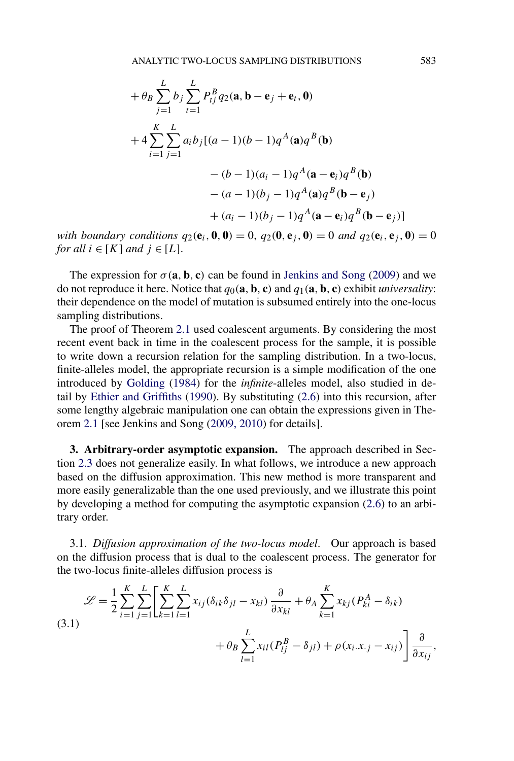<span id="page-7-0"></span>
$$
+\theta_B \sum_{j=1}^{L} b_j \sum_{t=1}^{L} P_{tj}^B q_2(\mathbf{a}, \mathbf{b} - \mathbf{e}_j + \mathbf{e}_t, \mathbf{0})
$$
  
+4
$$
\sum_{i=1}^{K} \sum_{j=1}^{L} a_i b_j [(a-1)(b-1)q^A(\mathbf{a})q^B(\mathbf{b})
$$

$$
-(b-1)(a_i - 1)q^A(\mathbf{a} - \mathbf{e}_i)q^B(\mathbf{b})
$$

$$
-(a-1)(b_j - 1)q^A(\mathbf{a})q^B(\mathbf{b} - \mathbf{e}_j)
$$

$$
+(a_i - 1)(b_j - 1)q^A(\mathbf{a} - \mathbf{e}_i)q^B(\mathbf{b} - \mathbf{e}_j)]
$$

with boundary conditions  $q_2(\mathbf{e}_i, \mathbf{0}, \mathbf{0}) = 0$ ,  $q_2(\mathbf{0}, \mathbf{e}_i, \mathbf{0}) = 0$  and  $q_2(\mathbf{e}_i, \mathbf{e}_i, \mathbf{0}) = 0$ *for all*  $i \in [K]$  *and*  $j \in [L]$ .

The expression for  $\sigma(\mathbf{a}, \mathbf{b}, \mathbf{c})$  can be found in [Jenkins and Song](#page-31-0) [\(2009\)](#page-31-0) and we do not reproduce it here. Notice that  $q_0(\mathbf{a}, \mathbf{b}, \mathbf{c})$  and  $q_1(\mathbf{a}, \mathbf{b}, \mathbf{c})$  exhibit *universality*: their dependence on the model of mutation is subsumed entirely into the one-locus sampling distributions.

The proof of Theorem [2.1](#page-6-0) used coalescent arguments. By considering the most recent event back in time in the coalescent process for the sample, it is possible to write down a recursion relation for the sampling distribution. In a two-locus, finite-alleles model, the appropriate recursion is a simple modification of the one introduced by [Golding](#page-30-0) [\(1984\)](#page-30-0) for the *infinite*-alleles model, also studied in detail by [Ethier and Griffiths](#page-30-0) [\(1990\)](#page-30-0). By substituting [\(2.6\)](#page-6-0) into this recursion, after some lengthy algebraic manipulation one can obtain the expressions given in Theorem [2.1](#page-6-0) [see Jenkins and Song [\(2009, 2010\)](#page-31-0) for details].

**3. Arbitrary-order asymptotic expansion.** The approach described in Section [2.3](#page-5-0) does not generalize easily. In what follows, we introduce a new approach based on the diffusion approximation. This new method is more transparent and more easily generalizable than the one used previously, and we illustrate this point by developing a method for computing the asymptotic expansion [\(2.6\)](#page-6-0) to an arbitrary order.

3.1. *Diffusion approximation of the two-locus model*. Our approach is based on the diffusion process that is dual to the coalescent process. The generator for the two-locus finite-alleles diffusion process is

$$
\mathcal{L} = \frac{1}{2} \sum_{i=1}^{K} \sum_{j=1}^{L} \left[ \sum_{k=1}^{K} \sum_{l=1}^{L} x_{ij} (\delta_{ik} \delta_{jl} - x_{kl}) \frac{\partial}{\partial x_{kl}} + \theta_A \sum_{k=1}^{K} x_{kj} (P_{ki}^A - \delta_{ik}) + \theta_B \sum_{l=1}^{L} x_{il} (P_{lj}^B - \delta_{jl}) + \rho (x_i.x_{\cdot j} - x_{ij}) \right] \frac{\partial}{\partial x_{ij}},
$$
\n(3.1)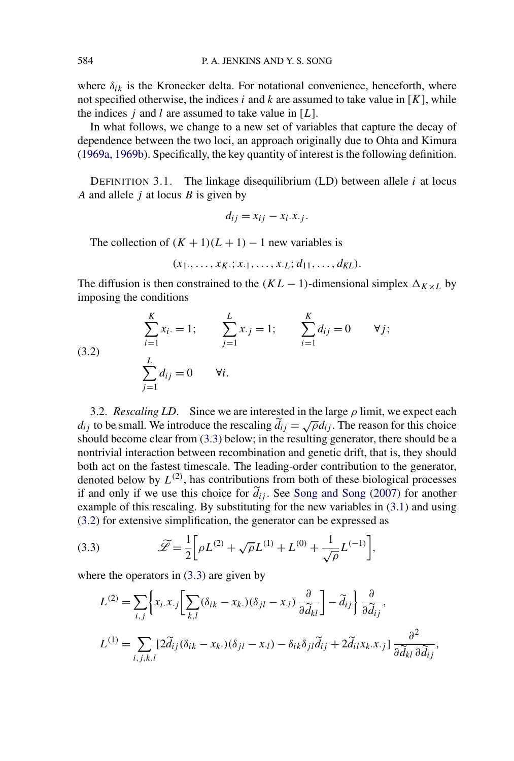<span id="page-8-0"></span>where  $\delta_{ik}$  is the Kronecker delta. For notational convenience, henceforth, where not specified otherwise, the indices *i* and *k* are assumed to take value in  $[K]$ , while the indices *j* and *l* are assumed to take value in [*L*].

In what follows, we change to a new set of variables that capture the decay of dependence between the two loci, an approach originally due to Ohta and Kimura [\(1969a, 1969b\)](#page-31-0). Specifically, the key quantity of interest is the following definition.

DEFINITION 3.1. The linkage disequilibrium (LD) between allele *i* at locus *A* and allele *j* at locus *B* is given by

$$
d_{ij} = x_{ij} - x_i.x_{\cdot j}.
$$

The collection of  $(K + 1)(L + 1) - 1$  new variables is

$$
(x_1, \ldots, x_K; x_{\cdot 1}, \ldots, x_{\cdot L}; d_{11}, \ldots, d_{KL}).
$$

The diffusion is then constrained to the  $(KL - 1)$ -dimensional simplex  $\Delta_{K \times L}$  by imposing the conditions

(3.2) 
$$
\sum_{i=1}^{K} x_{i} = 1; \qquad \sum_{j=1}^{L} x_{\cdot j} = 1; \qquad \sum_{i=1}^{K} d_{ij} = 0 \qquad \forall j;
$$

$$
\sum_{j=1}^{L} d_{ij} = 0 \qquad \forall i.
$$

3.2. *Rescaling LD*. Since we are interested in the large *ρ* limit, we expect each *d<sub>ij</sub>* to be small. We introduce the rescaling  $\tilde{d}_{ij} = \sqrt{\rho} d_{ij}$ . The reason for this choice should become clear from (3.3) below; in the resulting generator, there should be a nontrivial interaction between recombination and genetic drift, that is, they should both act on the fastest timescale. The leading-order contribution to the generator, denoted below by  $L^{(2)}$ , has contributions from both of these biological processes if and only if we use this choice for  $d_{ij}$ . See [Song and Song](#page-31-0) [\(2007\)](#page-31-0) for another example of this rescaling. By substituting for the new variables in [\(3.1\)](#page-7-0) and using (3.2) for extensive simplification, the generator can be expressed as

(3.3) 
$$
\widetilde{\mathscr{L}} = \frac{1}{2} \bigg[ \rho L^{(2)} + \sqrt{\rho} L^{(1)} + L^{(0)} + \frac{1}{\sqrt{\rho}} L^{(-1)} \bigg],
$$

where the operators in  $(3.3)$  are given by

$$
L^{(2)} = \sum_{i,j} \left\{ x_i x_j \left[ \sum_{k,l} (\delta_{ik} - x_k) (\delta_{jl} - x_l) \frac{\partial}{\partial \tilde{d}_{kl}} \right] - \tilde{d}_{ij} \right\} \frac{\partial}{\partial \tilde{d}_{ij}},
$$
  

$$
L^{(1)} = \sum_{i,j,k,l} \left[ 2\tilde{d}_{ij} (\delta_{ik} - x_k) (\delta_{jl} - x_l) - \delta_{ik} \delta_{jl} \tilde{d}_{ij} + 2\tilde{d}_{il} x_k x_{.j} \right] \frac{\partial^2}{\partial \tilde{d}_{kl} \partial \tilde{d}_{ij}},
$$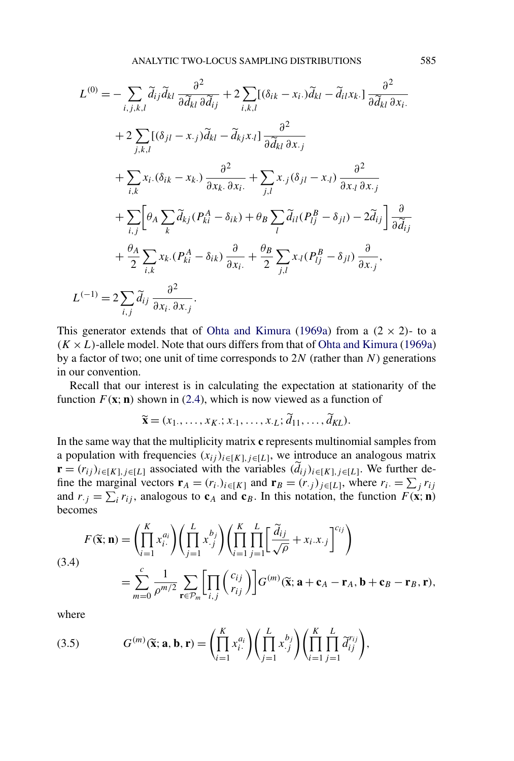<span id="page-9-0"></span>
$$
L^{(0)} = -\sum_{i,j,k,l} \widetilde{a}_{ij} \widetilde{a}_{kl} \frac{\partial^2}{\partial \widetilde{d}_{kl} \partial \widetilde{d}_{ij}} + 2 \sum_{i,k,l} [(\delta_{ik} - x_i) \widetilde{d}_{kl} - \widetilde{d}_{il} x_k] \frac{\partial^2}{\partial \widetilde{d}_{kl} \partial x_i} + 2 \sum_{j,k,l} [(\delta_{jl} - x_{.j}) \widetilde{d}_{kl} - \widetilde{d}_{kj} x_{.l}] \frac{\partial^2}{\partial \widetilde{d}_{kl} \partial x_{.j}} + \sum_{i,k} x_i (\delta_{ik} - x_k) \frac{\partial^2}{\partial x_k \partial x_i} + \sum_{j,l} x_{.j} (\delta_{jl} - x_{.l}) \frac{\partial^2}{\partial x_{.l} \partial x_{.j}} + \sum_{i,j} \left[ \theta_A \sum_k \widetilde{d}_{kj} (P_{ki}^A - \delta_{ik}) + \theta_B \sum_l \widetilde{d}_{il} (P_{lj}^B - \delta_{jl}) - 2 \widetilde{d}_{ij} \right] \frac{\partial}{\partial \widetilde{d}_{ij}} + \frac{\theta_A}{2} \sum_{i,k} x_k (P_{ki}^A - \delta_{ik}) \frac{\partial}{\partial x_i} + \frac{\theta_B}{2} \sum_{j,l} x_{.l} (P_{lj}^B - \delta_{jl}) \frac{\partial}{\partial x_{.j}},
$$
  

$$
L^{(-1)} = 2 \sum_{i,j} \widetilde{d}_{ij} \frac{\partial^2}{\partial x_i \partial x_{.j}}.
$$

This generator extends that of [Ohta and Kimura](#page-31-0) [\(1969a\)](#page-31-0) from a  $(2 \times 2)$ - to a  $(K \times L)$ -allele model. Note that ours differs from that of [Ohta and Kimura](#page-31-0) [\(1969a\)](#page-31-0) by a factor of two; one unit of time corresponds to 2*N* (rather than *N*) generations in our convention.

Recall that our interest is in calculating the expectation at stationarity of the function  $F(\mathbf{x}; \mathbf{n})$  shown in [\(2.4\)](#page-5-0), which is now viewed as a function of

$$
\widetilde{\mathbf{x}} = (x_1, \dots, x_K; x_1, \dots, x_L; \widetilde{d}_{11}, \dots, \widetilde{d}_{KL}).
$$

In the same way that the multiplicity matrix **c** represents multinomial samples from a population with frequencies  $(x_{ij})_{i \in [K], j \in [L]}$ , we introduce an analogous matrix **r** =  $(r_{ij})_{i \in [K], j \in [L]}$  associated with the variables  $(d_{ij})_{i \in [K], j \in [L]}$ . We further define the marginal vectors  $\mathbf{r}_A = (r_i)_{i \in [K]}$  and  $\mathbf{r}_B = (r_{\cdot j})_{j \in [L]}$ , where  $r_i = \sum_j r_{ij}$ and  $r_{\cdot j} = \sum_i r_{ij}$ , analogous to  $c_A$  and  $c_B$ . In this notation, the function  $F(\mathbf{x}; \mathbf{n})$ becomes

(3.4)  

$$
F(\widetilde{\mathbf{x}}; \mathbf{n}) = \left( \prod_{i=1}^{K} x_i^{a_i} \right) \left( \prod_{j=1}^{L} x_j^{b_j} \right) \left( \prod_{i=1}^{K} \prod_{j=1}^{L} \left[ \frac{\widetilde{d}_{ij}}{\sqrt{\rho}} + x_i \cdot x_{\cdot j} \right]^{c_{ij}} \right)
$$

$$
= \sum_{m=0}^{c} \frac{1}{\rho^{m/2}} \sum_{\mathbf{r} \in \mathcal{P}_m} \left[ \prod_{i,j} {c_{ij} \choose r_{ij}} \right] G^{(m)}(\widetilde{\mathbf{x}}; \mathbf{a} + \mathbf{c}_A - \mathbf{r}_A, \mathbf{b} + \mathbf{c}_B - \mathbf{r}_B, \mathbf{r}),
$$

where

(3.5) 
$$
G^{(m)}(\widetilde{\mathbf{x}}; \mathbf{a}, \mathbf{b}, \mathbf{r}) = \left(\prod_{i=1}^K x_i^{a_i}\right) \left(\prod_{j=1}^L x_j^{b_j}\right) \left(\prod_{i=1}^K \prod_{j=1}^L \widetilde{d}_{ij}^{r_{ij}}\right),
$$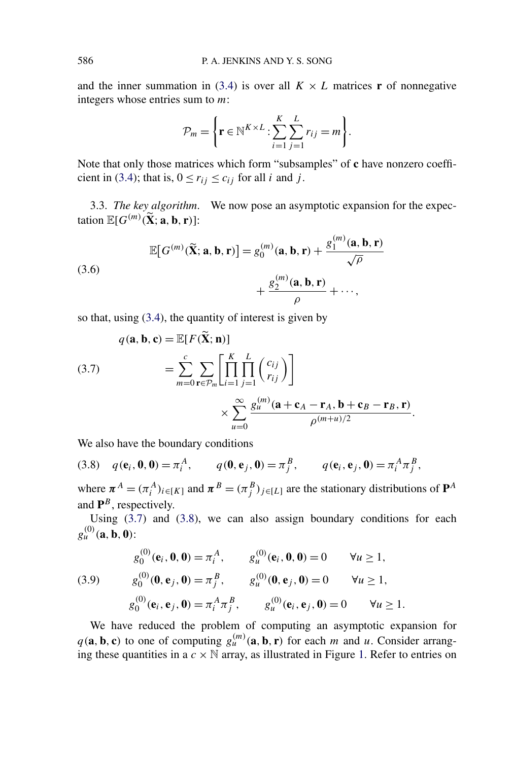and the inner summation in [\(3.4\)](#page-9-0) is over all  $K \times L$  matrices **r** of nonnegative integers whose entries sum to *m*:

$$
\mathcal{P}_m = \left\{ \mathbf{r} \in \mathbb{N}^{K \times L} : \sum_{i=1}^K \sum_{j=1}^L r_{ij} = m \right\}.
$$

Note that only those matrices which form "subsamples" of **c** have nonzero coeffi-cient in [\(3.4\)](#page-9-0); that is,  $0 \le r_{ij} \le c_{ij}$  for all *i* and *j*.

3.3. *The key algorithm*. We now pose an asymptotic expansion for the expectation  $\mathbb{E}[G^{(m)}(\tilde{\mathbf{X}}; \mathbf{a}, \mathbf{b}, \mathbf{r})]$ :

(3.6)  
\n
$$
\mathbb{E}[G^{(m)}(\tilde{\mathbf{X}}; \mathbf{a}, \mathbf{b}, \mathbf{r})] = g_0^{(m)}(\mathbf{a}, \mathbf{b}, \mathbf{r}) + \frac{g_1^{(m)}(\mathbf{a}, \mathbf{b}, \mathbf{r})}{\sqrt{\rho}} + \frac{g_2^{(m)}(\mathbf{a}, \mathbf{b}, \mathbf{r})}{\rho} + \cdots,
$$

so that, using [\(3.4\)](#page-9-0), the quantity of interest is given by

(3.7)  
\n
$$
q(\mathbf{a}, \mathbf{b}, \mathbf{c}) = \mathbb{E}[F(\widetilde{\mathbf{X}}; \mathbf{n})]
$$
\n
$$
= \sum_{m=0}^{c} \sum_{\mathbf{r} \in \mathcal{P}_m} \left[ \prod_{i=1}^{K} \prod_{j=1}^{L} {c_{ij} \choose r_{ij}} \right]
$$
\n
$$
\times \sum_{u=0}^{\infty} \frac{g_u^{(m)}(\mathbf{a} + \mathbf{c}_A - \mathbf{r}_A, \mathbf{b} + \mathbf{c}_B - \mathbf{r}_B, \mathbf{r})}{\rho^{(m+u)/2}}.
$$

We also have the boundary conditions

(3.8) 
$$
q(\mathbf{e}_i, \mathbf{0}, \mathbf{0}) = \pi_i^A
$$
,  $q(\mathbf{0}, \mathbf{e}_j, \mathbf{0}) = \pi_j^B$ ,  $q(\mathbf{e}_i, \mathbf{e}_j, \mathbf{0}) = \pi_i^A \pi_j^B$ ,

where  $\pi^A = (\pi^A_i)_{i \in [K]}$  and  $\pi^B = (\pi^B_j)_{j \in [L]}$  are the stationary distributions of  $\mathbf{P}^A$ and  $P^B$ , respectively.

Using  $(3.7)$  and  $(3.8)$ , we can also assign boundary conditions for each  $g_u^{(0)}$  (**a***,* **b***,* **0**):

(3.9) 
$$
g_0^{(0)}(\mathbf{e}_i, \mathbf{0}, \mathbf{0}) = \pi_i^A, \qquad g_u^{(0)}(\mathbf{e}_i, \mathbf{0}, \mathbf{0}) = 0 \qquad \forall u \ge 1,
$$

$$
g_0^{(0)}(\mathbf{0}, \mathbf{e}_j, \mathbf{0}) = \pi_j^B, \qquad g_u^{(0)}(\mathbf{0}, \mathbf{e}_j, \mathbf{0}) = 0 \qquad \forall u \ge 1,
$$

$$
g_0^{(0)}(\mathbf{e}_i, \mathbf{e}_j, \mathbf{0}) = \pi_i^A \pi_j^B, \qquad g_u^{(0)}(\mathbf{e}_i, \mathbf{e}_j, \mathbf{0}) = 0 \qquad \forall u \ge 1.
$$

We have reduced the problem of computing an asymptotic expansion for  $q(\mathbf{a}, \mathbf{b}, \mathbf{c})$  to one of computing  $g_u^{(m)}(\mathbf{a}, \mathbf{b}, \mathbf{r})$  for each *m* and *u*. Consider arranging these quantities in a  $c \times N$  array, as illustrated in Figure [1.](#page-11-0) Refer to entries on

<span id="page-10-0"></span>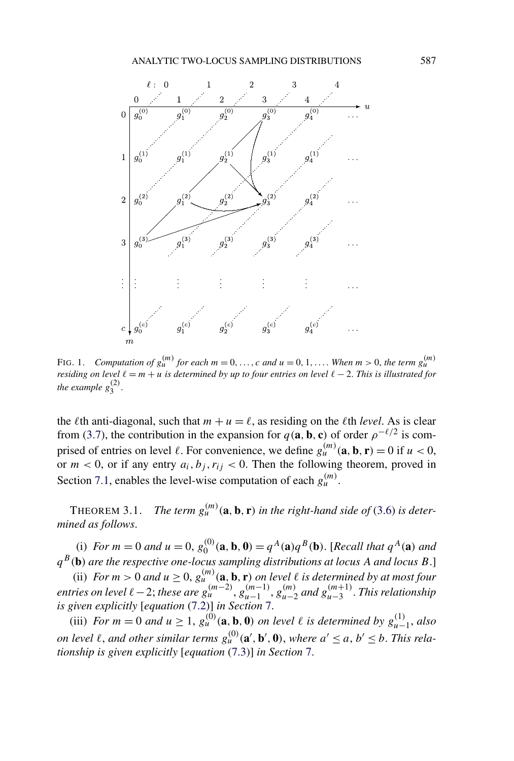<span id="page-11-0"></span>

FIG. 1. *Computation of*  $g_u^{(m)}$  *for each*  $m = 0, \ldots, c$  *and*  $u = 0, 1, \ldots$  *When*  $m > 0$ *, the term*  $g_u^{(m)}$ *residing on level*  $\ell = m + u$  *is determined by up to four entries on level*  $\ell - 2$ . *This is illustrated for the example*  $g_3^{(2)}$ .

the  $\ell$ th anti-diagonal, such that  $m + u = \ell$ , as residing on the  $\ell$ th *level*. As is clear from [\(3.7\)](#page-10-0), the contribution in the expansion for  $q(\mathbf{a}, \mathbf{b}, \mathbf{c})$  of order  $\rho^{-\ell/2}$  is comprised of entries on level  $\ell$ . For convenience, we define  $g_{\mu}^{(m)}(\mathbf{a}, \mathbf{b}, \mathbf{r}) = 0$  if  $u < 0$ , or  $m < 0$ , or if any entry  $a_i, b_j, r_{ij} < 0$ . Then the following theorem, proved in Section [7.1,](#page-25-0) enables the level-wise computation of each  $g_u^{(m)}$ .

THEOREM 3.1. *The term*  $g_u^{(m)}(a, b, r)$  *in the right-hand side of* [\(3.6\)](#page-10-0) *is determined as follows*.

(i) For  $m = 0$  and  $u = 0$ ,  $g_0^{(0)}(\mathbf{a}, \mathbf{b}, \mathbf{0}) = q^A(\mathbf{a})q^B(\mathbf{b})$ . [Recall that  $q^A(\mathbf{a})$  and *qB(***b***) are the respective one-locus sampling distributions at locus A and locus B*.]

(ii) *For*  $m > 0$  *and*  $u \ge 0$ ,  $g_u^{(m)}(a, b, r)$  *on level*  $\ell$  *is determined by at most four* entries on level  $\ell$  – 2; these are  $g_u^{(m-2)}$ ,  $g_{u-1}^{(m-1)}$ ,  $g_{u-2}^{(m)}$  and  $g_{u-3}^{(m+1)}$ . This relationship *is given explicitly* [*equation* [\(7.2\)](#page-26-0)] *in Section* [7.](#page-24-0)

(iii) For  $m = 0$  and  $u \ge 1$ ,  $g_u^{(0)}(\mathbf{a}, \mathbf{b}, \mathbf{0})$  on level  $\ell$  is determined by  $g_{u-1}^{(1)}$ , also on level  $\ell$ , and other similar terms  $g_u^{(0)}(\mathbf{a}', \mathbf{b}', \mathbf{0})$ , where  $a' \le a, b' \le b$ . This rela*tionship is given explicitly* [*equation* [\(7.3\)](#page-27-0)] *in Section* [7.](#page-24-0)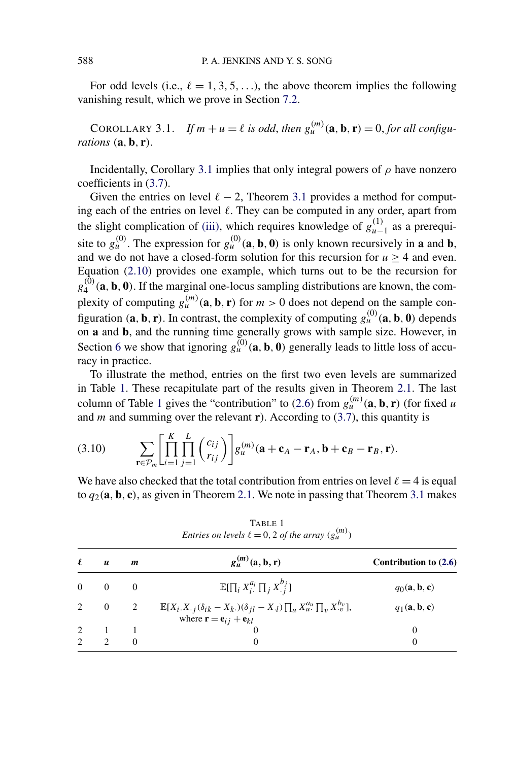<span id="page-12-0"></span>For odd levels (i.e.,  $\ell = 1, 3, 5, \ldots$ ), the above theorem implies the following vanishing result, which we prove in Section [7.2.](#page-28-0)

COROLLARY 3.1. *If*  $m + u = \ell$  *is odd, then*  $g_u^{(m)}(\mathbf{a}, \mathbf{b}, \mathbf{r}) = 0$ *, for all configurations (***a***,* **b***,* **r***)*.

Incidentally, Corollary 3.1 implies that only integral powers of *ρ* have nonzero coefficients in [\(3.7\)](#page-10-0).

Given the entries on level  $\ell - 2$ , Theorem [3.1](#page-11-0) provides a method for computing each of the entries on level . They can be computed in any order, apart from the slight complication of [\(iii\),](#page-11-0) which requires knowledge of  $g_{u-1}^{(1)}$  as a prerequisite to  $g_u^{(0)}$ . The expression for  $g_u^{(0)}$  (a, b, 0) is only known recursively in a and b, and we do not have a closed-form solution for this recursion for  $u \ge 4$  and even. Equation [\(2.10\)](#page-6-0) provides one example, which turns out to be the recursion for  $g_4^{(0)}$  (a, b, 0). If the marginal one-locus sampling distributions are known, the complexity of computing  $g_u^{(m)}(a, b, r)$  for  $m > 0$  does not depend on the sample configuration  $(\mathbf{a}, \mathbf{b}, \mathbf{r})$ . In contrast, the complexity of computing  $g_{\mu}^{(0)}(\mathbf{a}, \mathbf{b}, \mathbf{0})$  depends on **a** and **b**, and the running time generally grows with sample size. However, in Section [6](#page-18-0) we show that ignoring  $g_{\mu}^{(0)}(\mathbf{a}, \mathbf{b}, \mathbf{0})$  generally leads to little loss of accuracy in practice.

To illustrate the method, entries on the first two even levels are summarized in Table 1. These recapitulate part of the results given in Theorem [2.1.](#page-6-0) The last column of Table 1 gives the "contribution" to [\(2.6\)](#page-6-0) from  $g_u^{(m)}(a, b, r)$  (for fixed *u* and *m* and summing over the relevant **r**). According to  $(3.7)$ , this quantity is

(3.10) 
$$
\sum_{\mathbf{r}\in\mathcal{P}_m}\left[\prod_{i=1}^K\prod_{j=1}^L\binom{c_{ij}}{r_{ij}}\right]g_u^{(m)}(\mathbf{a}+\mathbf{c}_A-\mathbf{r}_A,\mathbf{b}+\mathbf{c}_B-\mathbf{r}_B,\mathbf{r}).
$$

We have also checked that the total contribution from entries on level  $\ell = 4$  is equal to  $q_2(\mathbf{a}, \mathbf{b}, \mathbf{c})$ , as given in Theorem [2.1.](#page-6-0) We note in passing that Theorem [3.1](#page-11-0) makes

| $\ell$   | $\boldsymbol{u}$                                                     | m                        | $g_u^{(m)}(a, b, r)$                                                                                                                                                            | Contribution to $(2.6)$                   |
|----------|----------------------------------------------------------------------|--------------------------|---------------------------------------------------------------------------------------------------------------------------------------------------------------------------------|-------------------------------------------|
| $\Omega$ |                                                                      | $\Omega$                 | $\mathbb{E}[\prod_i X_i^{a_i} \prod_j X_{\cdot i}^{b_j}]$                                                                                                                       | $q_0(\mathbf{a}, \mathbf{b}, \mathbf{c})$ |
| 2        | $\overline{0}$                                                       | $\overline{\phantom{a}}$ | $\mathbb{E}[X_i,X_{\cdot j}(\delta_{ik}-X_{k\cdot})(\delta_{jl}-X_{\cdot l})\prod_u X^{a_u}_u\prod_v X^{b_v}_\cdot],$<br>where $\mathbf{r} = \mathbf{e}_{ij} + \mathbf{e}_{kl}$ | $q_1(\mathbf{a}, \mathbf{b}, \mathbf{c})$ |
|          |                                                                      |                          |                                                                                                                                                                                 | 0                                         |
|          | $\begin{array}{ccc} 2 & & 1 \\ 2 & & 2 \end{array}$<br>$\mathcal{D}$ | $\Omega$                 | $\Omega$                                                                                                                                                                        | $\theta$                                  |

TABLE 1 *Entries on levels*  $\ell = 0, 2$  *of the array*  $(g_u^{(m)})$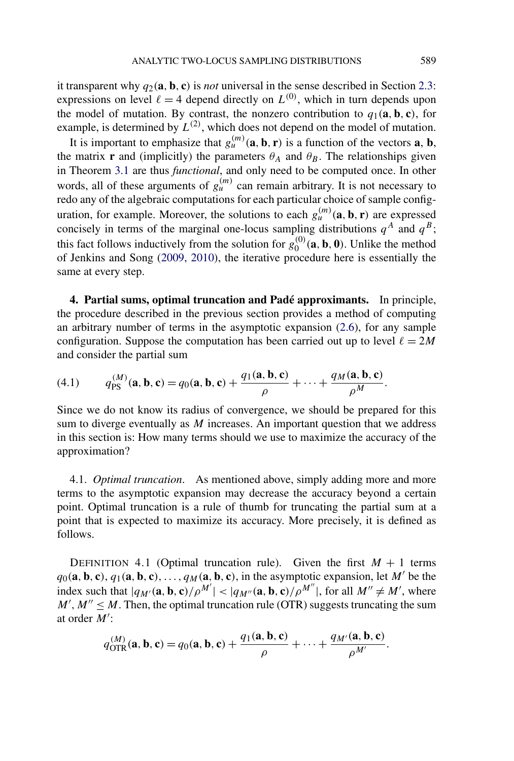<span id="page-13-0"></span>it transparent why  $q_2(\mathbf{a}, \mathbf{b}, \mathbf{c})$  is *not* universal in the sense described in Section [2.3:](#page-5-0) expressions on level  $\ell = 4$  depend directly on  $L^{(0)}$ , which in turn depends upon the model of mutation. By contrast, the nonzero contribution to  $q_1(\mathbf{a}, \mathbf{b}, \mathbf{c})$ , for example, is determined by  $L^{(2)}$ , which does not depend on the model of mutation.

It is important to emphasize that  $g_u^{(m)}(a, b, r)$  is a function of the vectors  $a, b$ , the matrix **r** and (implicitly) the parameters  $\theta_A$  and  $\theta_B$ . The relationships given in Theorem [3.1](#page-11-0) are thus *functional*, and only need to be computed once. In other words, all of these arguments of  $g_u^{(m)}$  can remain arbitrary. It is not necessary to redo any of the algebraic computations for each particular choice of sample configuration, for example. Moreover, the solutions to each  $g_u^{(m)}(a, b, r)$  are expressed concisely in terms of the marginal one-locus sampling distributions  $q^A$  and  $q^B$ ; this fact follows inductively from the solution for  $g_0^{(0)}(a, b, 0)$ . Unlike the method of Jenkins and Song [\(2009, 2010\)](#page-31-0), the iterative procedure here is essentially the same at every step.

**4. Partial sums, optimal truncation and Padé approximants.** In principle, the procedure described in the previous section provides a method of computing an arbitrary number of terms in the asymptotic expansion [\(2.6\)](#page-6-0), for any sample configuration. Suppose the computation has been carried out up to level  $\ell = 2M$ and consider the partial sum

(4.1) 
$$
q_{\text{PS}}^{(M)}(\mathbf{a}, \mathbf{b}, \mathbf{c}) = q_0(\mathbf{a}, \mathbf{b}, \mathbf{c}) + \frac{q_1(\mathbf{a}, \mathbf{b}, \mathbf{c})}{\rho} + \cdots + \frac{q_M(\mathbf{a}, \mathbf{b}, \mathbf{c})}{\rho^M}.
$$

Since we do not know its radius of convergence, we should be prepared for this sum to diverge eventually as *M* increases. An important question that we address in this section is: How many terms should we use to maximize the accuracy of the approximation?

4.1. *Optimal truncation*. As mentioned above, simply adding more and more terms to the asymptotic expansion may decrease the accuracy beyond a certain point. Optimal truncation is a rule of thumb for truncating the partial sum at a point that is expected to maximize its accuracy. More precisely, it is defined as follows.

DEFINITION 4.1 (Optimal truncation rule). Given the first  $M + 1$  terms  $q_0(\mathbf{a}, \mathbf{b}, \mathbf{c}), q_1(\mathbf{a}, \mathbf{b}, \mathbf{c}), \ldots, q_M(\mathbf{a}, \mathbf{b}, \mathbf{c}),$  in the asymptotic expansion, let M' be the index such that  $|q_{M'}(\mathbf{a}, \mathbf{b}, \mathbf{c})/\rho^{M'}| < |q_{M''}(\mathbf{a}, \mathbf{b}, \mathbf{c})/\rho^{M''}|$ , for all  $M'' \neq M'$ , where  $M'$ ,  $M'' \leq M$ . Then, the optimal truncation rule (OTR) suggests truncating the sum at order *M*':

$$
q_{\text{OTR}}^{(M)}(\mathbf{a},\mathbf{b},\mathbf{c})=q_0(\mathbf{a},\mathbf{b},\mathbf{c})+\frac{q_1(\mathbf{a},\mathbf{b},\mathbf{c})}{\rho}+\cdots+\frac{q_{M'}(\mathbf{a},\mathbf{b},\mathbf{c})}{\rho^{M'}}.
$$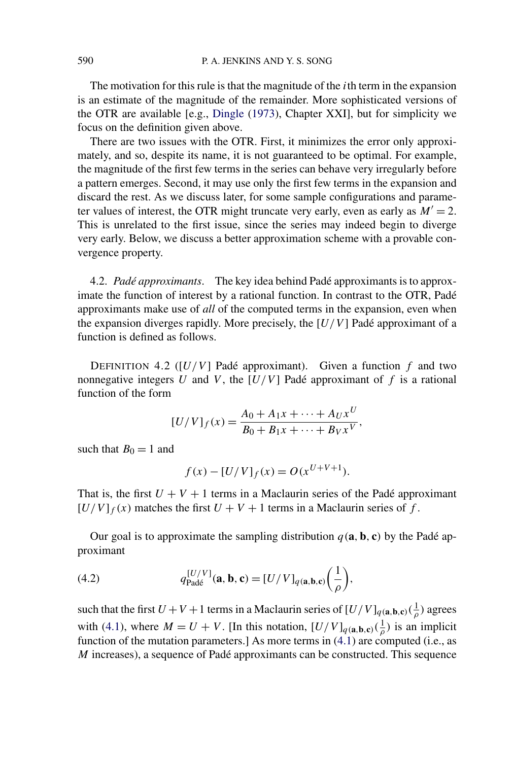<span id="page-14-0"></span>The motivation for this rule is that the magnitude of the *i*th term in the expansion is an estimate of the magnitude of the remainder. More sophisticated versions of the OTR are available [e.g., [Dingle](#page-30-0) [\(1973\)](#page-30-0), Chapter XXI], but for simplicity we focus on the definition given above.

There are two issues with the OTR. First, it minimizes the error only approximately, and so, despite its name, it is not guaranteed to be optimal. For example, the magnitude of the first few terms in the series can behave very irregularly before a pattern emerges. Second, it may use only the first few terms in the expansion and discard the rest. As we discuss later, for some sample configurations and parameter values of interest, the OTR might truncate very early, even as early as  $M' = 2$ . This is unrelated to the first issue, since the series may indeed begin to diverge very early. Below, we discuss a better approximation scheme with a provable convergence property.

4.2. *Padé approximants*. The key idea behind Padé approximants is to approximate the function of interest by a rational function. In contrast to the OTR, Padé approximants make use of *all* of the computed terms in the expansion, even when the expansion diverges rapidly. More precisely, the [*U/V* ] Padé approximant of a function is defined as follows.

DEFINITION 4.2 ( $[U/V]$  Padé approximant). Given a function  $f$  and two nonnegative integers  $U$  and  $V$ , the  $[U/V]$  Padé approximant of  $f$  is a rational function of the form

$$
[U/V]_f(x) = \frac{A_0 + A_1x + \dots + A_Ux^U}{B_0 + B_1x + \dots + B_Vx^V},
$$

such that  $B_0 = 1$  and

$$
f(x) - [U/V]_f(x) = O(x^{U+V+1}).
$$

That is, the first  $U + V + 1$  terms in a Maclaurin series of the Padé approximant  $[U/V]_f(x)$  matches the first  $U + V + 1$  terms in a Maclaurin series of f.

Our goal is to approximate the sampling distribution  $q(\mathbf{a}, \mathbf{b}, \mathbf{c})$  by the Padé approximant

(4.2) 
$$
q_{\text{Pad\acute{e}}}^{[U/V]}(\mathbf{a}, \mathbf{b}, \mathbf{c}) = [U/V]_{q(\mathbf{a}, \mathbf{b}, \mathbf{c})} \left(\frac{1}{\rho}\right),
$$

such that the first  $U + V + 1$  terms in a Maclaurin series of  $[U/V]_{q(\mathbf{a},\mathbf{b},\mathbf{c})}(\frac{1}{\rho})$  agrees with [\(4.1\)](#page-13-0), where  $M = U + V$ . [In this notation,  $[U/V]_{q(\mathbf{a}, \mathbf{b}, \mathbf{c})}(\frac{1}{\rho})$  is an implicit function of the mutation parameters.] As more terms in [\(4.1\)](#page-13-0) are computed (i.e., as *M* increases), a sequence of Padé approximants can be constructed. This sequence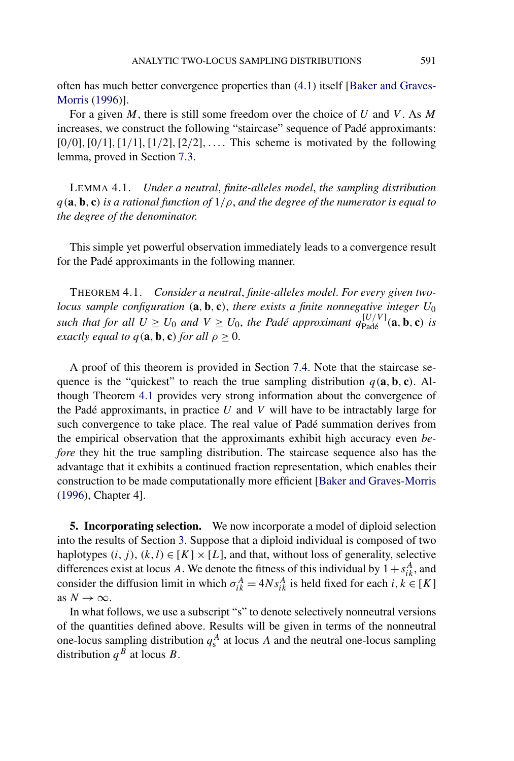<span id="page-15-0"></span>often has much better convergence properties than [\(4.1\)](#page-13-0) itself [\[Baker and Graves-](#page-30-0)[Morris](#page-30-0) [\(1996\)](#page-30-0)].

For a given *M*, there is still some freedom over the choice of *U* and *V* . As *M* increases, we construct the following "staircase" sequence of Padé approximants: [0*/*0]*,*[0*/*1]*,*[1*/*1]*,*[1*/*2]*,*[2*/*2]*,....* This scheme is motivated by the following lemma, proved in Section [7.3.](#page-28-0)

LEMMA 4.1. *Under a neutral*, *finite-alleles model*, *the sampling distribution q(***a***,* **b***,* **c***) is a rational function of* 1*/ρ*, *and the degree of the numerator is equal to the degree of the denominator*.

This simple yet powerful observation immediately leads to a convergence result for the Padé approximants in the following manner.

THEOREM 4.1. *Consider a neutral*, *finite-alleles model*. *For every given twolocus sample configuration (***a***,* **b***,* **c***)*, *there exists a finite nonnegative integer U*<sup>0</sup> *such that for all*  $U \ge U_0$  *and*  $V \ge U_0$ *, the Padé approximant*  $q_{\text{Padé}}^{[U/V]}(\mathbf{a}, \mathbf{b}, \mathbf{c})$  *is exactly equal to*  $q(\mathbf{a}, \mathbf{b}, \mathbf{c})$  *for all*  $\rho \geq 0$ .

A proof of this theorem is provided in Section [7.4.](#page-29-0) Note that the staircase sequence is the "quickest" to reach the true sampling distribution  $q(\mathbf{a}, \mathbf{b}, \mathbf{c})$ . Although Theorem 4.1 provides very strong information about the convergence of the Padé approximants, in practice *U* and *V* will have to be intractably large for such convergence to take place. The real value of Padé summation derives from the empirical observation that the approximants exhibit high accuracy even *before* they hit the true sampling distribution. The staircase sequence also has the advantage that it exhibits a continued fraction representation, which enables their construction to be made computationally more efficient [\[Baker and Graves-Morris](#page-30-0) [\(1996\)](#page-30-0), Chapter 4].

**5. Incorporating selection.** We now incorporate a model of diploid selection into the results of Section [3.](#page-7-0) Suppose that a diploid individual is composed of two haplotypes  $(i, j)$ ,  $(k, l) \in [K] \times [L]$ , and that, without loss of generality, selective differences exist at locus *A*. We denote the fitness of this individual by  $1 + s<sub>ik</sub><sup>A</sup>$ , and consider the diffusion limit in which  $\sigma_{ik}^A = 4Ns_{ik}^A$  is held fixed for each  $i, k \in [K]$ as  $N \rightarrow \infty$ .

In what follows, we use a subscript "s" to denote selectively nonneutral versions of the quantities defined above. Results will be given in terms of the nonneutral one-locus sampling distribution  $q_s^A$  at locus *A* and the neutral one-locus sampling distribution  $q^{B}$  at locus *B*.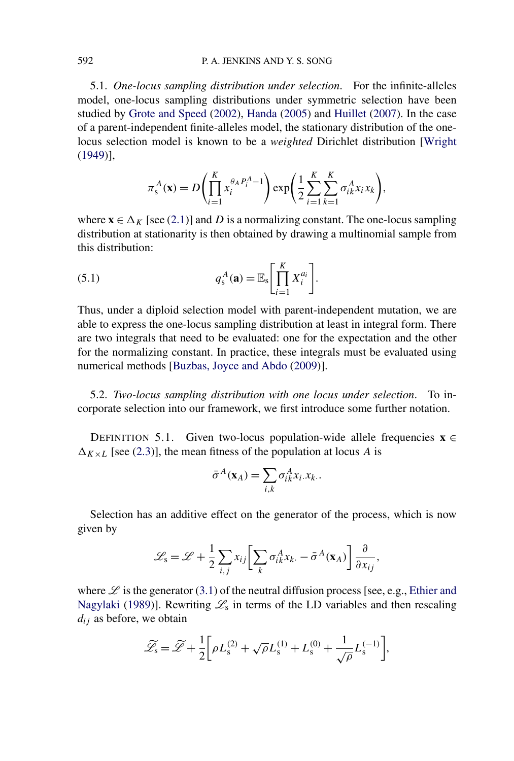5.1. *One-locus sampling distribution under selection*. For the infinite-alleles model, one-locus sampling distributions under symmetric selection have been studied by [Grote and Speed](#page-30-0) [\(2002\)](#page-30-0), [Handa](#page-30-0) [\(2005\)](#page-30-0) and [Huillet](#page-31-0) [\(2007\)](#page-31-0). In the case of a parent-independent finite-alleles model, the stationary distribution of the onelocus selection model is known to be a *weighted* Dirichlet distribution [\[Wright](#page-31-0) [\(1949\)](#page-31-0)],

$$
\pi_s^A(\mathbf{x}) = D\left(\prod_{i=1}^K x_i^{\theta_A P_i^A - 1}\right) \exp\left(\frac{1}{2} \sum_{i=1}^K \sum_{k=1}^K \sigma_{ik}^A x_i x_k\right),
$$

where  $\mathbf{x} \in \Delta_K$  [see [\(2.1\)](#page-4-0)] and *D* is a normalizing constant. The one-locus sampling distribution at stationarity is then obtained by drawing a multinomial sample from this distribution:

(5.1) 
$$
q_s^A(\mathbf{a}) = \mathbb{E}_s \left[ \prod_{i=1}^K X_i^{a_i} \right].
$$

Thus, under a diploid selection model with parent-independent mutation, we are able to express the one-locus sampling distribution at least in integral form. There are two integrals that need to be evaluated: one for the expectation and the other for the normalizing constant. In practice, these integrals must be evaluated using numerical methods [\[Buzbas, Joyce and Abdo](#page-30-0) [\(2009\)](#page-30-0)].

5.2. *Two-locus sampling distribution with one locus under selection*. To incorporate selection into our framework, we first introduce some further notation.

DEFINITION 5.1. Given two-locus population-wide allele frequencies  $\mathbf{x} \in \mathbb{R}$  $\Delta_{K \times L}$  [see [\(2.3\)](#page-5-0)], the mean fitness of the population at locus *A* is

$$
\bar{\sigma}^A(\mathbf{x}_A) = \sum_{i,k} \sigma^A_{ik} x_i . x_k .
$$

Selection has an additive effect on the generator of the process, which is now given by

$$
\mathcal{L}_{\rm s} = \mathcal{L} + \frac{1}{2} \sum_{i,j} x_{ij} \left[ \sum_{k} \sigma_{ik}^{A} x_{k} \cdot - \bar{\sigma}^{A}(\mathbf{x}_{A}) \right] \frac{\partial}{\partial x_{ij}},
$$

where  $\mathscr L$  is the generator [\(3.1\)](#page-7-0) of the neutral diffusion process [see, e.g., [Ethier and](#page-30-0) [Nagylaki](#page-30-0) [\(1989\)](#page-30-0)]. Rewriting  $\mathcal{L}_s$  in terms of the LD variables and then rescaling *dij* as before, we obtain

$$
\widetilde{\mathcal{L}_s} = \widetilde{\mathcal{L}} + \frac{1}{2} \bigg[ \rho L_s^{(2)} + \sqrt{\rho} L_s^{(1)} + L_s^{(0)} + \frac{1}{\sqrt{\rho}} L_s^{(-1)} \bigg],
$$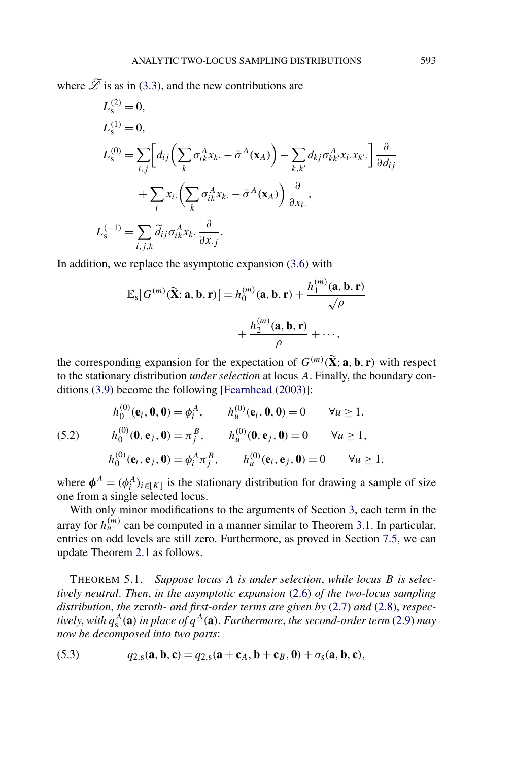<span id="page-17-0"></span>where  $\widetilde{\mathscr{L}}$  is as in [\(3.3\)](#page-8-0), and the new contributions are

$$
L_{\rm s}^{(2)} = 0,
$$
  
\n
$$
L_{\rm s}^{(1)} = 0,
$$
  
\n
$$
L_{\rm s}^{(0)} = \sum_{i,j} \left[ d_{ij} \left( \sum_{k} \sigma_{ik}^{A} x_{k.} - \bar{\sigma}^{A} (\mathbf{x}_{A}) \right) - \sum_{k,k'} d_{kj} \sigma_{kk'}^{A} x_{i.} x_{k'} \right] \frac{\partial}{\partial d_{ij}}
$$
  
\n
$$
+ \sum_{i} x_{i} \left( \sum_{k} \sigma_{ik}^{A} x_{k.} - \bar{\sigma}^{A} (\mathbf{x}_{A}) \right) \frac{\partial}{\partial x_{i}},
$$
  
\n
$$
L_{\rm s}^{(-1)} = \sum_{i,j,k} \tilde{d}_{ij} \sigma_{ik}^{A} x_{k.} \frac{\partial}{\partial x_{.j}}.
$$

In addition, we replace the asymptotic expansion [\(3.6\)](#page-10-0) with

*h(*0*)*

$$
\mathbb{E}_{\mathbf{s}}[G^{(m)}(\widetilde{\mathbf{X}}; \mathbf{a}, \mathbf{b}, \mathbf{r})] = h_0^{(m)}(\mathbf{a}, \mathbf{b}, \mathbf{r}) + \frac{h_1^{(m)}(\mathbf{a}, \mathbf{b}, \mathbf{r})}{\sqrt{\rho}} + \frac{h_2^{(m)}(\mathbf{a}, \mathbf{b}, \mathbf{r})}{\rho} + \cdots,
$$

the corresponding expansion for the expectation of  $G^{(m)}(\tilde{\mathbf{X}}; \mathbf{a}, \mathbf{b}, \mathbf{r})$  with respect to the stationary distribution *under selection* at locus *A*. Finally, the boundary conditions [\(3.9\)](#page-10-0) become the following [\[Fearnhead](#page-30-0) [\(2003\)](#page-30-0)]:

(5.2) 
$$
h_0^{(0)}(\mathbf{e}_i, \mathbf{0}, \mathbf{0}) = \phi_i^A, \qquad h_u^{(0)}(\mathbf{e}_i, \mathbf{0}, \mathbf{0}) = 0 \qquad \forall u \ge 1,
$$
  
\n
$$
h_0^{(0)}(\mathbf{0}, \mathbf{e}_j, \mathbf{0}) = \pi_j^B, \qquad h_u^{(0)}(\mathbf{0}, \mathbf{e}_j, \mathbf{0}) = 0 \qquad \forall u \ge 1,
$$
  
\n
$$
h_0^{(0)}(\mathbf{e}_i, \mathbf{e}_j, \mathbf{0}) = \phi_i^A \pi_j^B, \qquad h_u^{(0)}(\mathbf{e}_i, \mathbf{e}_j, \mathbf{0}) = 0 \qquad \forall u \ge 1,
$$

where  $\phi^A = (\phi_i^A)_{i \in [K]}$  is the stationary distribution for drawing a sample of size one from a single selected locus.

With only minor modifications to the arguments of Section [3,](#page-7-0) each term in the array for  $h_u^{(m)}$  can be computed in a manner similar to Theorem [3.1.](#page-11-0) In particular, entries on odd levels are still zero. Furthermore, as proved in Section [7.5,](#page-29-0) we can update Theorem [2.1](#page-6-0) as follows.

THEOREM 5.1. *Suppose locus A is under selection*, *while locus B is selectively neutral*. *Then*, *in the asymptotic expansion* [\(2.6\)](#page-6-0) *of the two-locus sampling distribution*, *the* zero*th- and first-order terms are given by* [\(2.7\)](#page-6-0) *and* [\(2.8\)](#page-6-0), *respec* $tively, with$   $q^A_s(\mathbf{a})$  *in place of*  $q^A(\mathbf{a})$ *. Furthermore, the second-order term* [\(2.9\)](#page-6-0) *may now be decomposed into two parts*:

(5.3) 
$$
q_{2,s}(\mathbf{a},\mathbf{b},\mathbf{c})=q_{2,s}(\mathbf{a}+\mathbf{c}_A,\mathbf{b}+\mathbf{c}_B,\mathbf{0})+\sigma_s(\mathbf{a},\mathbf{b},\mathbf{c}),
$$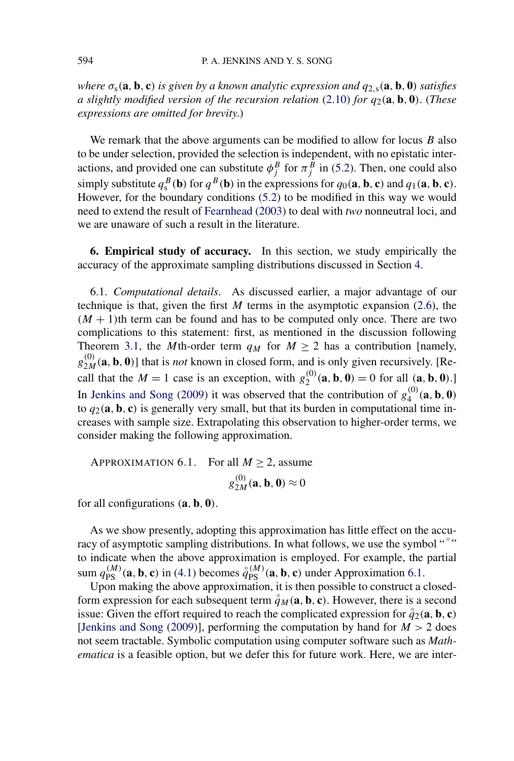<span id="page-18-0"></span>where  $\sigma_s(\mathbf{a}, \mathbf{b}, \mathbf{c})$  is given by a known analytic expression and  $q_{2,s}(\mathbf{a}, \mathbf{b}, \mathbf{0})$  satisfies *a slightly modified version of the recursion relation* [\(2.10\)](#page-6-0) *for q*2*(***a***,* **b***,* **0***)*. (*These expressions are omitted for brevity*.)

We remark that the above arguments can be modified to allow for locus *B* also to be under selection, provided the selection is independent, with no epistatic interactions, and provided one can substitute  $\phi_j^B$  for  $\pi_j^B$  in [\(5.2\)](#page-17-0). Then, one could also simply substitute  $q_s^B(\mathbf{b})$  for  $q^B(\mathbf{b})$  in the expressions for  $q_0(\mathbf{a}, \mathbf{b}, \mathbf{c})$  and  $q_1(\mathbf{a}, \mathbf{b}, \mathbf{c})$ . However, for the boundary conditions [\(5.2\)](#page-17-0) to be modified in this way we would need to extend the result of [Fearnhead](#page-30-0) [\(2003\)](#page-30-0) to deal with *two* nonneutral loci, and we are unaware of such a result in the literature.

**6. Empirical study of accuracy.** In this section, we study empirically the accuracy of the approximate sampling distributions discussed in Section [4.](#page-13-0)

6.1. *Computational details*. As discussed earlier, a major advantage of our technique is that, given the first *M* terms in the asymptotic expansion [\(2.6\)](#page-6-0), the  $(M + 1)$ th term can be found and has to be computed only once. There are two complications to this statement: first, as mentioned in the discussion following Theorem [3.1,](#page-11-0) the *M*th-order term  $q_M$  for  $M \ge 2$  has a contribution [namely,  $g_{2M}^{(0)}$  (a, b, 0)] that is *not* known in closed form, and is only given recursively. [Recall that the  $M = 1$  case is an exception, with  $g_2^{(0)}(a, b, 0) = 0$  for all  $(a, b, 0)$ .] In [Jenkins and Song](#page-31-0) [\(2009\)](#page-31-0) it was observed that the contribution of  $g_4^{(0)}(a, b, 0)$ to  $q_2(\mathbf{a}, \mathbf{b}, \mathbf{c})$  is generally very small, but that its burden in computational time increases with sample size. Extrapolating this observation to higher-order terms, we consider making the following approximation.

APPROXIMATION 6.1. For all  $M \ge 2$ , assume  $g_{2M}^{(0)}(\mathbf{a}, \mathbf{b}, \mathbf{0}) \approx 0$ 

for all configurations *(***a***,* **b***,* **0***)*.

As we show presently, adopting this approximation has little effect on the accuracy of asymptotic sampling distributions. In what follows, we use the symbol "<sup>°</sup>" to indicate when the above approximation is employed. For example, the partial sum  $q_{PS}^{(M)}(a, b, c)$  in [\(4.1\)](#page-13-0) becomes  $\overset{\circ}{q}_{PS}^{(M)}(a, b, c)$  under Approximation 6.1.

Upon making the above approximation, it is then possible to construct a closedform expression for each subsequent term  $\overset{\circ}{q}_M(\mathbf{a}, \mathbf{b}, \mathbf{c})$ . However, there is a second issue: Given the effort required to reach the complicated expression for  $\hat{q}_2(\mathbf{a}, \mathbf{b}, \mathbf{c})$ [\[Jenkins and Song](#page-31-0)  $(2009)$ ], performing the computation by hand for  $M > 2$  does not seem tractable. Symbolic computation using computer software such as *Mathematica* is a feasible option, but we defer this for future work. Here, we are inter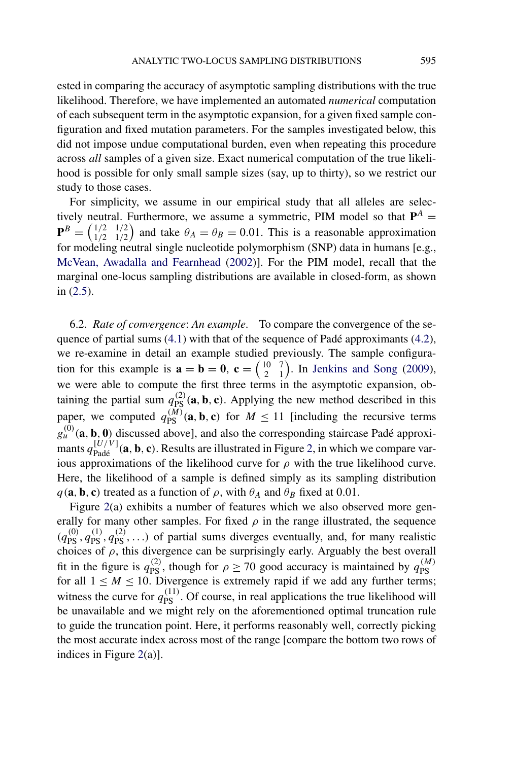<span id="page-19-0"></span>ested in comparing the accuracy of asymptotic sampling distributions with the true likelihood. Therefore, we have implemented an automated *numerical* computation of each subsequent term in the asymptotic expansion, for a given fixed sample configuration and fixed mutation parameters. For the samples investigated below, this did not impose undue computational burden, even when repeating this procedure across *all* samples of a given size. Exact numerical computation of the true likelihood is possible for only small sample sizes (say, up to thirty), so we restrict our study to those cases.

For simplicity, we assume in our empirical study that all alleles are selectively neutral. Furthermore, we assume a symmetric, PIM model so that  $P^A$  =  ${\bf P}^{B} = \begin{pmatrix} 1/2 \\ 1/2 \end{pmatrix}$ 1*/*2 1*/*2 1*/*2 ) and take  $\theta_A = \theta_B = 0.01$ . This is a reasonable approximation for modeling neutral single nucleotide polymorphism (SNP) data in humans [e.g., [McVean, Awadalla and Fearnhead](#page-31-0) [\(2002\)](#page-31-0)]. For the PIM model, recall that the marginal one-locus sampling distributions are available in closed-form, as shown in [\(2.5\)](#page-5-0).

6.2. *Rate of convergence*: *An example*. To compare the convergence of the sequence of partial sums [\(4.1\)](#page-13-0) with that of the sequence of Padé approximants [\(4.2\)](#page-14-0), we re-examine in detail an example studied previously. The sample configuration for this example is  $\mathbf{a} = \mathbf{b} = \mathbf{0}$ ,  $\mathbf{c} = \begin{pmatrix} 10 \\ 2 \end{pmatrix}$ 2 7 1 . In [Jenkins and Song](#page-31-0) [\(2009\)](#page-31-0), we were able to compute the first three terms in the asymptotic expansion, obtaining the partial sum  $q_{PS}^{(2)}$  (a, b, c). Applying the new method described in this paper, we computed  $q_{\text{PS}}^{(M)}(\mathbf{a}, \mathbf{b}, \mathbf{c})$  for  $M \le 11$  [including the recursive terms  $g_{\mu}^{(0)}(\mathbf{a}, \mathbf{b}, \mathbf{0})$  discussed above], and also the corresponding staircase Padé approximants  $q_{\text{Padé}}^{[U/V]}(a, b, c)$ . Results are illustrated in Figure [2,](#page-20-0) in which we compare various approximations of the likelihood curve for  $\rho$  with the true likelihood curve. Here, the likelihood of a sample is defined simply as its sampling distribution  $q$ (**a**, **b**, **c**) treated as a function of  $\rho$ , with  $\theta_A$  and  $\theta_B$  fixed at 0.01.

Figure [2\(](#page-20-0)a) exhibits a number of features which we also observed more generally for many other samples. For fixed  $\rho$  in the range illustrated, the sequence  $(q_{\text{PS}}^{(0)}, q_{\text{PS}}^{(1)}, q_{\text{PS}}^{(2)}, \ldots)$  of partial sums diverges eventually, and, for many realistic choices of  $\rho$ , this divergence can be surprisingly early. Arguably the best overall fit in the figure is  $q_{PS}^{(2)}$ , though for  $\rho \ge 70$  good accuracy is maintained by  $q_{PS}^{(M)}$ for all  $1 \leq M \leq 10$ . Divergence is extremely rapid if we add any further terms; witness the curve for  $q_{\text{PS}}^{(11)}$ . Of course, in real applications the true likelihood will be unavailable and we might rely on the aforementioned optimal truncation rule to guide the truncation point. Here, it performs reasonably well, correctly picking the most accurate index across most of the range [compare the bottom two rows of indices in Figure [2\(](#page-20-0)a)].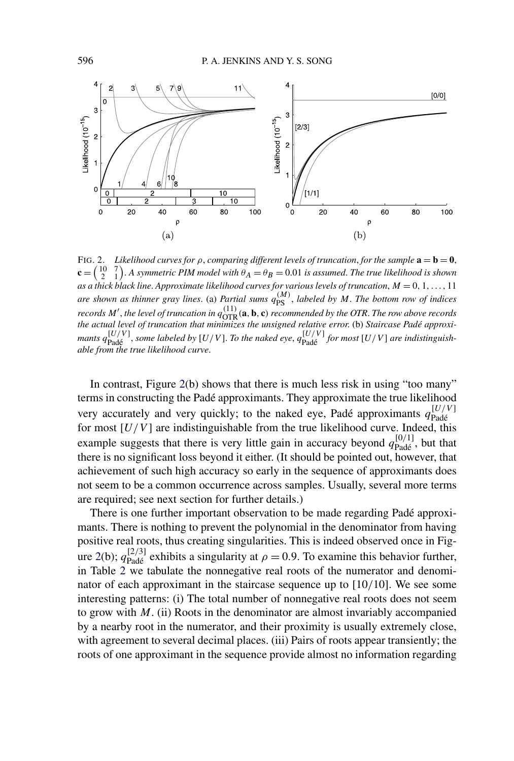<span id="page-20-0"></span>

FIG. 2. *Likelihood curves for*  $\rho$ , *comparing different levels of truncation*, *for the sample*  $\mathbf{a} = \mathbf{b} = \mathbf{0}$ , **c** =  $\binom{10}{2}$  $\binom{7}{1}$ . A symmetric PIM model with  $\theta_A = \theta_B = 0.01$  is assumed. The true likelihood is shown *as a thick black line*. *Approximate likelihood curves for various levels of truncation*, *M* = 0*,* 1*,...,* 11 *are shown as thinner gray lines.* (a) *Partial sums*  $q_{\text{PS}}^{(M)}$ , *labeled by M. The bottom row of indices records*  $M'$ , *the level of truncation in*  $q_{\text{OTR}}^{(11)}$  (**a**, **b**, **c**) *recommended by the OTR. The row above records the actual level of truncation that minimizes the unsigned relative error*. (b) *Staircase Padé approximants*  $q_{\text{Pad}\xi}^{[U/V]}$ , *some labeled by* [*U/V*]. *To the naked eye*,  $q_{\text{Pad}\xi}^{[U/V]}$  *for most* [*U/V*] *are indistinguishable from the true likelihood curve*.

In contrast, Figure 2(b) shows that there is much less risk in using "too many" terms in constructing the Padé approximants. They approximate the true likelihood very accurately and very quickly; to the naked eye, Padé approximants  $q_{\text{Padé}}^{[U/V]}$ for most  $[U/V]$  are indistinguishable from the true likelihood curve. Indeed, this example suggests that there is very little gain in accuracy beyond  $q_{\text{Padé}}^{[0/1]}$ , but that there is no significant loss beyond it either. (It should be pointed out, however, that achievement of such high accuracy so early in the sequence of approximants does not seem to be a common occurrence across samples. Usually, several more terms are required; see next section for further details.)

There is one further important observation to be made regarding Padé approximants. There is nothing to prevent the polynomial in the denominator from having positive real roots, thus creating singularities. This is indeed observed once in Figure 2(b);  $q_{\text{Padé}}^{[2/3]}$  exhibits a singularity at  $\rho = 0.9$ . To examine this behavior further, in Table [2](#page-21-0) we tabulate the nonnegative real roots of the numerator and denominator of each approximant in the staircase sequence up to [10*/*10]. We see some interesting patterns: (i) The total number of nonnegative real roots does not seem to grow with *M*. (ii) Roots in the denominator are almost invariably accompanied by a nearby root in the numerator, and their proximity is usually extremely close, with agreement to several decimal places. (iii) Pairs of roots appear transiently; the roots of one approximant in the sequence provide almost no information regarding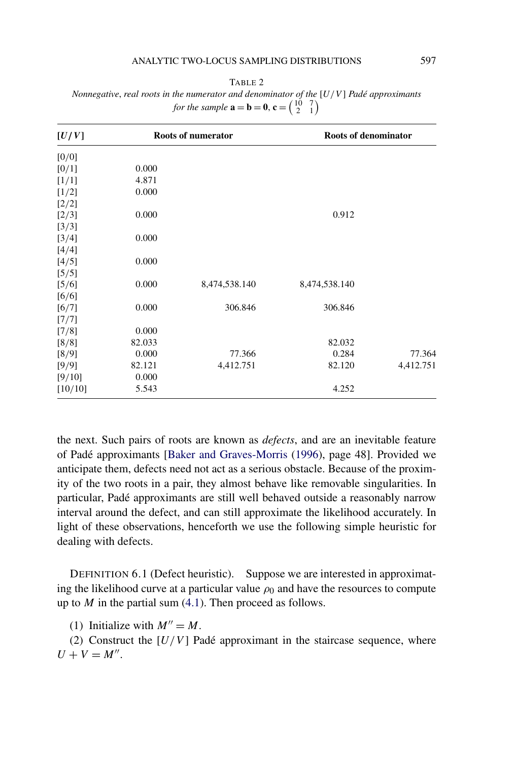#### ANALYTIC TWO-LOCUS SAMPLING DISTRIBUTIONS 597

| n |  |
|---|--|
|---|--|

<span id="page-21-0"></span>*Nonnegative*, *real roots in the numerator and denominator of the* [*U/V* ] *Padé approximants for the sample*  $\mathbf{a} = \mathbf{b} = \mathbf{0}$ ,  $\mathbf{c} = \begin{pmatrix} 10 & 7 \\ 2 & 1 \end{pmatrix}$ 

| [U/V]   |        | Roots of numerator | Roots of denominator |           |  |
|---------|--------|--------------------|----------------------|-----------|--|
| [0/0]   |        |                    |                      |           |  |
| [0/1]   | 0.000  |                    |                      |           |  |
| [1/1]   | 4.871  |                    |                      |           |  |
| [1/2]   | 0.000  |                    |                      |           |  |
| [2/2]   |        |                    |                      |           |  |
| [2/3]   | 0.000  |                    | 0.912                |           |  |
| [3/3]   |        |                    |                      |           |  |
| [3/4]   | 0.000  |                    |                      |           |  |
| [4/4]   |        |                    |                      |           |  |
| [4/5]   | 0.000  |                    |                      |           |  |
| [5/5]   |        |                    |                      |           |  |
| [5/6]   | 0.000  | 8,474,538.140      | 8,474,538.140        |           |  |
| [6/6]   |        |                    |                      |           |  |
| [6/7]   | 0.000  | 306.846            | 306.846              |           |  |
| [7/7]   |        |                    |                      |           |  |
| [7/8]   | 0.000  |                    |                      |           |  |
| [8/8]   | 82.033 |                    | 82.032               |           |  |
| [8/9]   | 0.000  | 77.366             | 0.284                | 77.364    |  |
| [9/9]   | 82.121 | 4,412.751          | 82.120               | 4,412.751 |  |
| [9/10]  | 0.000  |                    |                      |           |  |
| [10/10] | 5.543  |                    | 4.252                |           |  |

the next. Such pairs of roots are known as *defects*, and are an inevitable feature of Padé approximants [\[Baker and Graves-Morris](#page-30-0) [\(1996\)](#page-30-0), page 48]. Provided we anticipate them, defects need not act as a serious obstacle. Because of the proximity of the two roots in a pair, they almost behave like removable singularities. In particular, Padé approximants are still well behaved outside a reasonably narrow interval around the defect, and can still approximate the likelihood accurately. In light of these observations, henceforth we use the following simple heuristic for dealing with defects.

DEFINITION 6.1 (Defect heuristic). Suppose we are interested in approximating the likelihood curve at a particular value  $\rho_0$  and have the resources to compute up to *M* in the partial sum [\(4.1\)](#page-13-0). Then proceed as follows.

(1) Initialize with  $M'' = M$ .

(2) Construct the  $[U/V]$  Padé approximant in the staircase sequence, where  $U + V = M''$ .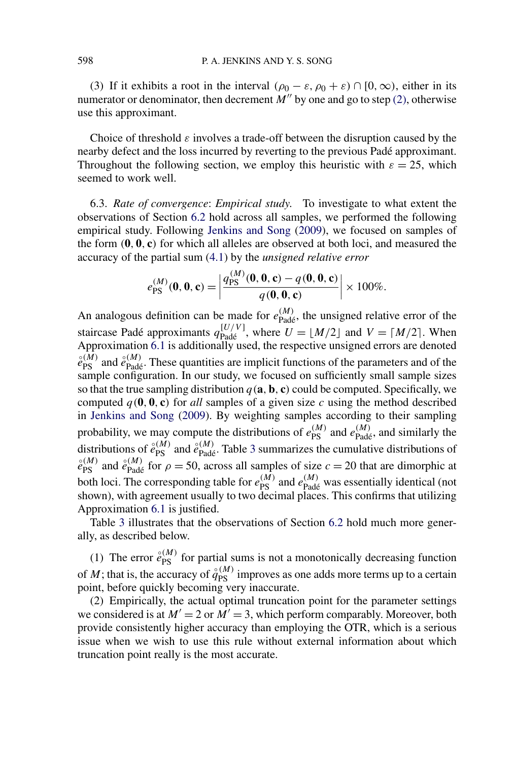(3) If it exhibits a root in the interval  $(\rho_0 - \varepsilon, \rho_0 + \varepsilon) \cap [0, \infty)$ , either in its numerator or denominator, then decrement  $M''$  by one and go to step [\(2\),](#page-21-0) otherwise use this approximant.

Choice of threshold *ε* involves a trade-off between the disruption caused by the nearby defect and the loss incurred by reverting to the previous Padé approximant. Throughout the following section, we employ this heuristic with  $\varepsilon = 25$ , which seemed to work well.

6.3. *Rate of convergence*: *Empirical study*. To investigate to what extent the observations of Section [6.2](#page-19-0) hold across all samples, we performed the following empirical study. Following [Jenkins and Song](#page-31-0) [\(2009\)](#page-31-0), we focused on samples of the form *(***0***,* **0***,* **c***)* for which all alleles are observed at both loci, and measured the accuracy of the partial sum [\(4.1\)](#page-13-0) by the *unsigned relative error*

$$
e_{\rm PS}^{(M)}(\mathbf{0},\mathbf{0},\mathbf{c}) = \left| \frac{q_{\rm PS}^{(M)}(\mathbf{0},\mathbf{0},\mathbf{c}) - q(\mathbf{0},\mathbf{0},\mathbf{c})}{q(\mathbf{0},\mathbf{0},\mathbf{c})} \right| \times 100\%.
$$

An analogous definition can be made for  $e_{\text{Padé}}^{(M)}$ , the unsigned relative error of the staircase Padé approximants  $q_{\text{Padé}}^{[U/V]}$ , where  $U = [M/2]$  and  $V = [M/2]$ . When Approximation [6.1](#page-18-0) is additionally used, the respective unsigned errors are denoted  $\hat{e}_{PS}^{(M)}$  and  $\hat{e}_{Pad\hat{e}}^{(M)}$ . These quantities are implicit functions of the parameters and of the sample configuration. In our study, we focused on sufficiently small sample sizes so that the true sampling distribution  $q(\mathbf{a}, \mathbf{b}, \mathbf{c})$  could be computed. Specifically, we computed  $q(0, 0, c)$  for *all* samples of a given size *c* using the method described in [Jenkins and Song](#page-31-0) [\(2009\)](#page-31-0). By weighting samples according to their sampling probability, we may compute the distributions of  $e_{PS}^{(M)}$  and  $e_{Pad\acute{e}}^{(M)}$ , and similarly the distributions of  $\hat{e}_{\text{PS}}^{(M)}$  and  $\hat{e}_{\text{Pad}\hat{e}}^{(M)}$ . Table [3](#page-23-0) summarizes the cumulative distributions of  $\hat{e}_{\text{RM}}^{(M)}$  $\hat{e}_{PS}^{(M)}$  and  $\hat{e}_{Pad\acute{e}}^{(M)}$  for  $\rho = 50$ , across all samples of size  $c = 20$  that are dimorphic at both loci. The corresponding table for  $e_{\text{PS}}^{(M)}$  and  $e_{\text{Pad\'e}}^{(M)}$  was essentially identical (not shown), with agreement usually to two decimal places. This confirms that utilizing Approximation [6.1](#page-18-0) is justified.

Table [3](#page-23-0) illustrates that the observations of Section [6.2](#page-19-0) hold much more generally, as described below.

(1) The error  $\hat{e}_{PS}^{(M)}$  for partial sums is not a monotonically decreasing function of *M*; that is, the accuracy of  $\hat{q}_{PS}^{(M)}$  improves as one adds more terms up to a certain point, before quickly becoming very inaccurate.

(2) Empirically, the actual optimal truncation point for the parameter settings we considered is at  $M' = 2$  or  $M' = 3$ , which perform comparably. Moreover, both provide consistently higher accuracy than employing the OTR, which is a serious issue when we wish to use this rule without external information about which truncation point really is the most accurate.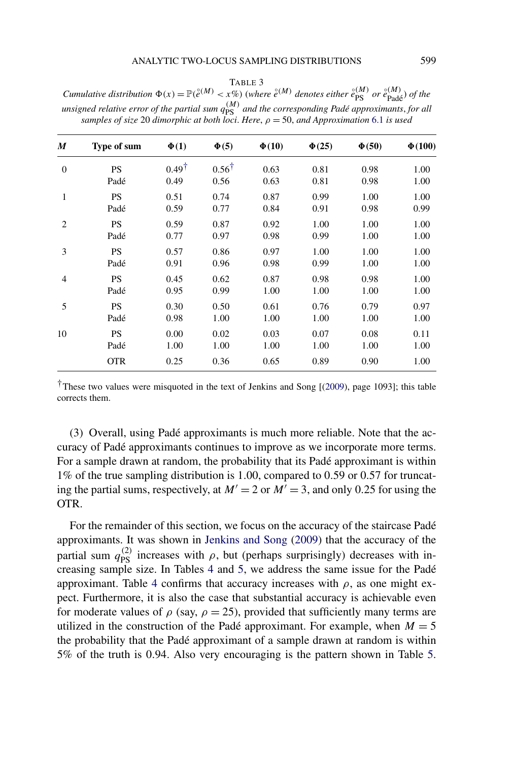TABLE 3

<span id="page-23-0"></span>Cumulative distribution  $\Phi(x) = \mathbb{P}(\hat{e}^{(M)} \lt x\%)$  (where  $\hat{e}^{(M)}$  denotes either  $\hat{e}_{PS}^{(M)}$  or  $\hat{e}_{Pad\hat{e}}^{(M)}$ ) of the  $u$ *unsigned relative error of the partial sum*  $q_{\rm PS}^{(M)}$  *and the corresponding Padé approximants, for all samples of size* 20 *dimorphic at both loci*. *Here*, *ρ* = 50, *and Approximation* [6.1](#page-18-0) *is used*

| M              | Type of sum | $\Phi(1)$        | $\Phi(5)$        | $\Phi(10)$ | $\Phi(25)$ | $\Phi(50)$ | $\Phi(100)$ |
|----------------|-------------|------------------|------------------|------------|------------|------------|-------------|
| $\theta$       | <b>PS</b>   | $0.49^{\dagger}$ | $0.56^{\dagger}$ | 0.63       | 0.81       | 0.98       | 1.00        |
|                | Padé        | 0.49             | 0.56             | 0.63       | 0.81       | 0.98       | 1.00        |
| $\mathbf{1}$   | <b>PS</b>   | 0.51             | 0.74             | 0.87       | 0.99       | 1.00       | 1.00        |
|                | Padé        | 0.59             | 0.77             | 0.84       | 0.91       | 0.98       | 0.99        |
| $\overline{2}$ | <b>PS</b>   | 0.59             | 0.87             | 0.92       | 1.00       | 1.00       | 1.00        |
|                | Padé        | 0.77             | 0.97             | 0.98       | 0.99       | 1.00       | 1.00        |
| 3              | <b>PS</b>   | 0.57             | 0.86             | 0.97       | 1.00       | 1.00       | 1.00        |
|                | Padé        | 0.91             | 0.96             | 0.98       | 0.99       | 1.00       | 1.00        |
| 4              | <b>PS</b>   | 0.45             | 0.62             | 0.87       | 0.98       | 0.98       | 1.00        |
|                | Padé        | 0.95             | 0.99             | 1.00       | 1.00       | 1.00       | 1.00        |
| 5              | <b>PS</b>   | 0.30             | 0.50             | 0.61       | 0.76       | 0.79       | 0.97        |
|                | Padé        | 0.98             | 1.00             | 1.00       | 1.00       | 1.00       | 1.00        |
| 10             | <b>PS</b>   | 0.00             | 0.02             | 0.03       | 0.07       | 0.08       | 0.11        |
|                | Padé        | 1.00             | 1.00             | 1.00       | 1.00       | 1.00       | 1.00        |
|                | <b>OTR</b>  | 0.25             | 0.36             | 0.65       | 0.89       | 0.90       | 1.00        |

†These two values were misquoted in the text of Jenkins and Song [[\(2009\)](#page-31-0), page 1093]; this table corrects them.

(3) Overall, using Padé approximants is much more reliable. Note that the accuracy of Padé approximants continues to improve as we incorporate more terms. For a sample drawn at random, the probability that its Padé approximant is within 1% of the true sampling distribution is 1*.*00, compared to 0*.*59 or 0*.*57 for truncating the partial sums, respectively, at  $M' = 2$  or  $M' = 3$ , and only 0.25 for using the OTR.

For the remainder of this section, we focus on the accuracy of the staircase Padé approximants. It was shown in [Jenkins and Song](#page-31-0) [\(2009\)](#page-31-0) that the accuracy of the partial sum  $q_{PS}^{(2)}$  increases with  $\rho$ , but (perhaps surprisingly) decreases with increasing sample size. In Tables [4](#page-24-0) and [5,](#page-25-0) we address the same issue for the Padé approximant. Table [4](#page-24-0) confirms that accuracy increases with *ρ*, as one might expect. Furthermore, it is also the case that substantial accuracy is achievable even for moderate values of  $\rho$  (say,  $\rho = 25$ ), provided that sufficiently many terms are utilized in the construction of the Padé approximant. For example, when  $M = 5$ the probability that the Padé approximant of a sample drawn at random is within 5% of the truth is 0*.*94. Also very encouraging is the pattern shown in Table [5.](#page-25-0)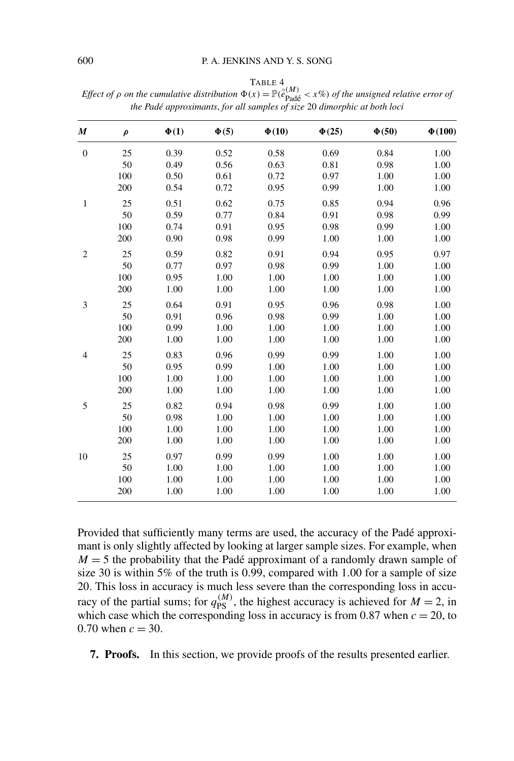| $\boldsymbol{M}$ | $\rho$ | $\Phi(1)$ | $\Phi(5)$ | $\Phi(10)$ | $\Phi(25)$ | $\Phi(50)$ | $\Phi(100)$ |
|------------------|--------|-----------|-----------|------------|------------|------------|-------------|
| $\boldsymbol{0}$ | 25     | 0.39      | 0.52      | 0.58       | 0.69       | 0.84       | 1.00        |
|                  | 50     | 0.49      | 0.56      | 0.63       | 0.81       | 0.98       | 1.00        |
|                  | 100    | 0.50      | 0.61      | 0.72       | 0.97       | 1.00       | 1.00        |
|                  | 200    | 0.54      | 0.72      | 0.95       | 0.99       | 1.00       | 1.00        |
| $\,1\,$          | 25     | 0.51      | 0.62      | 0.75       | 0.85       | 0.94       | 0.96        |
|                  | 50     | 0.59      | 0.77      | 0.84       | 0.91       | 0.98       | 0.99        |
|                  | 100    | 0.74      | 0.91      | 0.95       | 0.98       | 0.99       | 1.00        |
|                  | 200    | 0.90      | 0.98      | 0.99       | 1.00       | 1.00       | 1.00        |
| $\overline{c}$   | 25     | 0.59      | 0.82      | 0.91       | 0.94       | 0.95       | 0.97        |
|                  | 50     | 0.77      | 0.97      | 0.98       | 0.99       | 1.00       | 1.00        |
|                  | 100    | 0.95      | 1.00      | 1.00       | 1.00       | 1.00       | 1.00        |
|                  | 200    | 1.00      | 1.00      | 1.00       | 1.00       | 1.00       | 1.00        |
| 3                | 25     | 0.64      | 0.91      | 0.95       | 0.96       | 0.98       | 1.00        |
|                  | 50     | 0.91      | 0.96      | 0.98       | 0.99       | 1.00       | 1.00        |
|                  | 100    | 0.99      | 1.00      | 1.00       | 1.00       | 1.00       | 1.00        |
|                  | 200    | 1.00      | 1.00      | 1.00       | 1.00       | 1.00       | 1.00        |
| $\overline{4}$   | 25     | 0.83      | 0.96      | 0.99       | 0.99       | 1.00       | 1.00        |
|                  | 50     | 0.95      | 0.99      | 1.00       | 1.00       | 1.00       | 1.00        |
|                  | 100    | 1.00      | 1.00      | 1.00       | 1.00       | 1.00       | 1.00        |
|                  | 200    | $1.00\,$  | 1.00      | 1.00       | 1.00       | 1.00       | 1.00        |
| 5                | 25     | 0.82      | 0.94      | 0.98       | 0.99       | 1.00       | 1.00        |
|                  | 50     | 0.98      | 1.00      | 1.00       | 1.00       | 1.00       | 1.00        |
|                  | 100    | 1.00      | 1.00      | 1.00       | 1.00       | 1.00       | 1.00        |
|                  | 200    | 1.00      | 1.00      | 1.00       | 1.00       | 1.00       | 1.00        |
| 10               | 25     | 0.97      | 0.99      | 0.99       | 1.00       | 1.00       | 1.00        |
|                  | 50     | 1.00      | 1.00      | 1.00       | 1.00       | 1.00       | 1.00        |
|                  | 100    | $1.00\,$  | 1.00      | 1.00       | 1.00       | 1.00       | 1.00        |
|                  | 200    | 1.00      | 1.00      | 1.00       | 1.00       | 1.00       | 1.00        |

<span id="page-24-0"></span>TABLE 4 *Effect of*  $\rho$  *on the cumulative distribution*  $\Phi(x) = \mathbb{P}(\mathcal{E}_{\text{Pad} \epsilon}^{(M)} < x\%)$  *of the unsigned relative error of the Padé approximants*, *for all samples of size* 20 *dimorphic at both loci*

Provided that sufficiently many terms are used, the accuracy of the Padé approximant is only slightly affected by looking at larger sample sizes. For example, when  $M = 5$  the probability that the Padé approximant of a randomly drawn sample of size 30 is within 5% of the truth is 0*.*99, compared with 1*.*00 for a sample of size 20. This loss in accuracy is much less severe than the corresponding loss in accuracy of the partial sums; for  $q_{PS}^{(M)}$ , the highest accuracy is achieved for  $M = 2$ , in which case which the corresponding loss in accuracy is from  $0.87$  when  $c = 20$ , to 0.70 when  $c = 30$ .

**7. Proofs.** In this section, we provide proofs of the results presented earlier.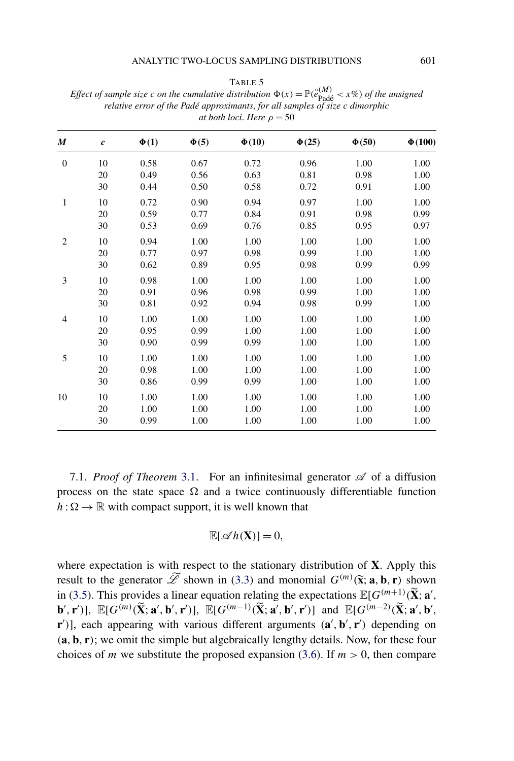TABLE 5

| M              | $\pmb{c}$ | $\Phi(1)$ | $\Phi(5)$ | $\Phi(10)$ | $\Phi(25)$ | $\Phi(50)$ | $\Phi(100)$ |
|----------------|-----------|-----------|-----------|------------|------------|------------|-------------|
| $\overline{0}$ | 10        | 0.58      | 0.67      | 0.72       | 0.96       | 1.00       | 1.00        |
|                | 20        | 0.49      | 0.56      | 0.63       | 0.81       | 0.98       | 1.00        |
|                | 30        | 0.44      | 0.50      | 0.58       | 0.72       | 0.91       | 1.00        |
| 1              | 10        | 0.72      | 0.90      | 0.94       | 0.97       | 1.00       | 1.00        |
|                | 20        | 0.59      | 0.77      | 0.84       | 0.91       | 0.98       | 0.99        |
|                | 30        | 0.53      | 0.69      | 0.76       | 0.85       | 0.95       | 0.97        |
| $\overline{2}$ | 10        | 0.94      | 1.00      | 1.00       | 1.00       | 1.00       | 1.00        |
|                | 20        | 0.77      | 0.97      | 0.98       | 0.99       | 1.00       | 1.00        |
|                | 30        | 0.62      | 0.89      | 0.95       | 0.98       | 0.99       | 0.99        |
| 3              | 10        | 0.98      | 1.00      | 1.00       | 1.00       | 1.00       | 1.00        |
|                | 20        | 0.91      | 0.96      | 0.98       | 0.99       | 1.00       | 1.00        |
|                | 30        | 0.81      | 0.92      | 0.94       | 0.98       | 0.99       | 1.00        |
| $\overline{4}$ | 10        | 1.00      | 1.00      | 1.00       | 1.00       | 1.00       | 1.00        |
|                | 20        | 0.95      | 0.99      | 1.00       | 1.00       | 1.00       | 1.00        |
|                | 30        | 0.90      | 0.99      | 0.99       | 1.00       | 1.00       | 1.00        |
| 5              | 10        | 1.00      | 1.00      | 1.00       | 1.00       | 1.00       | 1.00        |
|                | 20        | 0.98      | 1.00      | 1.00       | 1.00       | 1.00       | 1.00        |
|                | 30        | 0.86      | 0.99      | 0.99       | 1.00       | 1.00       | 1.00        |
| 10             | 10        | 1.00      | 1.00      | 1.00       | 1.00       | 1.00       | 1.00        |
|                | 20        | 1.00      | 1.00      | 1.00       | 1.00       | 1.00       | 1.00        |
|                | 30        | 0.99      | 1.00      | 1.00       | 1.00       | 1.00       | 1.00        |

<span id="page-25-0"></span>*Effect of sample size c on the cumulative distribution*  $\Phi(x) = \mathbb{P}(\hat{e}_{\text{Pad\acute{e}}}^{(M)} < x\%)$  *of the unsigned relative error of the Padé approximants, for all samples of size c dimorphic at both loci. Here*  $\rho = 50$ 

7.1. *Proof of Theorem* [3.1.](#page-11-0) For an infinitesimal generator  $\mathscr A$  of a diffusion process on the state space  $\Omega$  and a twice continuously differentiable function  $h: \Omega \to \mathbb{R}$  with compact support, it is well known that

$$
\mathbb{E}[\mathscr{A}h(\mathbf{X})] = 0,
$$

where expectation is with respect to the stationary distribution of **X**. Apply this result to the generator  $\widetilde{\mathscr{L}}$  shown in [\(3.3\)](#page-8-0) and monomial  $G^{(m)}(\widetilde{\mathbf{x}}; \mathbf{a}, \mathbf{b}, \mathbf{r})$  shown in [\(3.5\)](#page-9-0). This provides a linear equation relating the expectations  $\mathbb{E}[G^{(m+1)}(\tilde{\mathbf{X}}; \mathbf{a}',$  $[\mathbf{b}', \mathbf{r}')]$ ,  $\mathbb{E}[G^{(m)}(\widetilde{\mathbf{X}}; \mathbf{a}', \mathbf{b}', \mathbf{r}')]$ ,  $\mathbb{E}[G^{(m-1)}(\widetilde{\mathbf{X}}; \mathbf{a}', \mathbf{b}', \mathbf{r}')]$  and  $\mathbb{E}[G^{(m-2)}(\widetilde{\mathbf{X}}; \mathbf{a}', \mathbf{b}', \mathbf{b}')]$ **r**<sup>'</sup>)], each appearing with various different arguments  $(\mathbf{a}', \mathbf{b}', \mathbf{r}')$  depending on *(***a***,* **b***,* **r***)*; we omit the simple but algebraically lengthy details. Now, for these four choices of *m* we substitute the proposed expansion [\(3.6\)](#page-10-0). If  $m > 0$ , then compare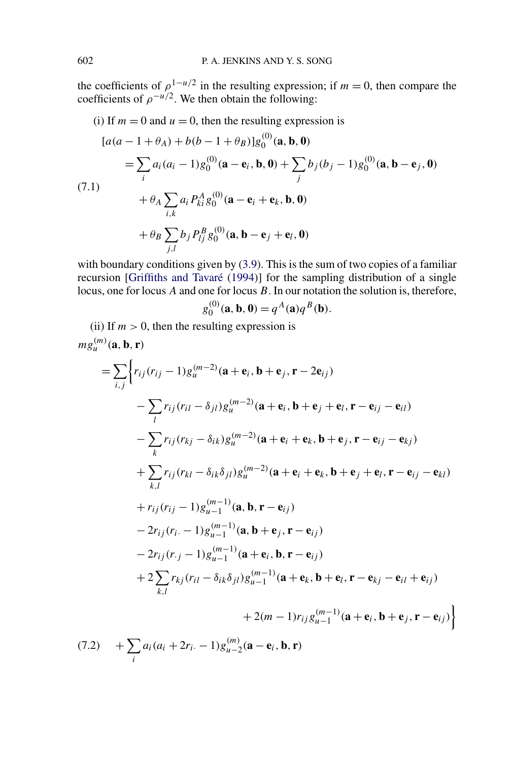<span id="page-26-0"></span>the coefficients of  $\rho^{1-u/2}$  in the resulting expression; if  $m = 0$ , then compare the coefficients of  $\rho^{-u/2}$ . We then obtain the following:

(i) If 
$$
m = 0
$$
 and  $u = 0$ , then the resulting expression is  
\n
$$
[a(a - 1 + \theta_A) + b(b - 1 + \theta_B)]g_0^{(0)}(\mathbf{a}, \mathbf{b}, \mathbf{0})
$$
\n
$$
= \sum_i a_i (a_i - 1)g_0^{(0)}(\mathbf{a} - \mathbf{e}_i, \mathbf{b}, \mathbf{0}) + \sum_j b_j (b_j - 1)g_0^{(0)}(\mathbf{a}, \mathbf{b} - \mathbf{e}_j, \mathbf{0})
$$
\n(7.1)\n
$$
+ \theta_A \sum_{i,k} a_i P_{ki}^A g_0^{(0)}(\mathbf{a} - \mathbf{e}_i + \mathbf{e}_k, \mathbf{b}, \mathbf{0})
$$
\n
$$
+ \theta_B \sum_{j,l} b_j P_{lj}^B g_0^{(0)}(\mathbf{a}, \mathbf{b} - \mathbf{e}_j + \mathbf{e}_l, \mathbf{0})
$$

with boundary conditions given by [\(3.9\)](#page-10-0). This is the sum of two copies of a familiar recursion [\[Griffiths and Tavaré](#page-30-0) [\(1994\)](#page-30-0)] for the sampling distribution of a single locus, one for locus *A* and one for locus *B*. In our notation the solution is, therefore,

$$
g_0^{(0)}(\mathbf{a}, \mathbf{b}, 0) = q^A(\mathbf{a})q^B(\mathbf{b}).
$$

(ii) If  $m > 0$ , then the resulting expression is  $mg_u^{(m)}(a,b,r)$ 

$$
= \sum_{i,j} \left\{ r_{ij} (r_{ij} - 1) g_{u}^{(m-2)} (\mathbf{a} + \mathbf{e}_i, \mathbf{b} + \mathbf{e}_j, \mathbf{r} - 2\mathbf{e}_{ij})
$$
  
\n
$$
- \sum_{i} r_{ij} (r_{il} - \delta_{jl}) g_{u}^{(m-2)} (\mathbf{a} + \mathbf{e}_i, \mathbf{b} + \mathbf{e}_j + \mathbf{e}_l, \mathbf{r} - \mathbf{e}_{ij} - \mathbf{e}_{il})
$$
  
\n
$$
- \sum_{k} r_{ij} (r_{kj} - \delta_{ik}) g_{u}^{(m-2)} (\mathbf{a} + \mathbf{e}_i + \mathbf{e}_k, \mathbf{b} + \mathbf{e}_j, \mathbf{r} - \mathbf{e}_{ij} - \mathbf{e}_{kj})
$$
  
\n
$$
+ \sum_{k,l} r_{ij} (r_{kl} - \delta_{ik} \delta_{jl}) g_{u}^{(m-2)} (\mathbf{a} + \mathbf{e}_i + \mathbf{e}_k, \mathbf{b} + \mathbf{e}_j + \mathbf{e}_l, \mathbf{r} - \mathbf{e}_{ij} - \mathbf{e}_{kl})
$$
  
\n
$$
+ r_{ij} (r_{ij} - 1) g_{u-1}^{(m-1)} (\mathbf{a}, \mathbf{b}, \mathbf{r} - \mathbf{e}_{ij})
$$
  
\n
$$
- 2r_{ij} (r_i - 1) g_{u-1}^{(m-1)} (\mathbf{a} + \mathbf{e}_i, \mathbf{b}, \mathbf{r} - \mathbf{e}_{ij})
$$
  
\n
$$
- 2r_{ij} (r_j - 1) g_{u-1}^{(m-1)} (\mathbf{a} + \mathbf{e}_i, \mathbf{b}, \mathbf{r} - \mathbf{e}_{ij})
$$
  
\n
$$
+ 2 \sum_{k,l} r_{kj} (r_{il} - \delta_{ik} \delta_{jl}) g_{u-1}^{(m-1)} (\mathbf{a} + \mathbf{e}_k, \mathbf{b} + \mathbf{e}_l, \mathbf{r} - \mathbf{e}_{kl} - \mathbf{e}_{il} + \mathbf{e}_{ij})
$$
  
\n
$$
+ 2(m - 1)
$$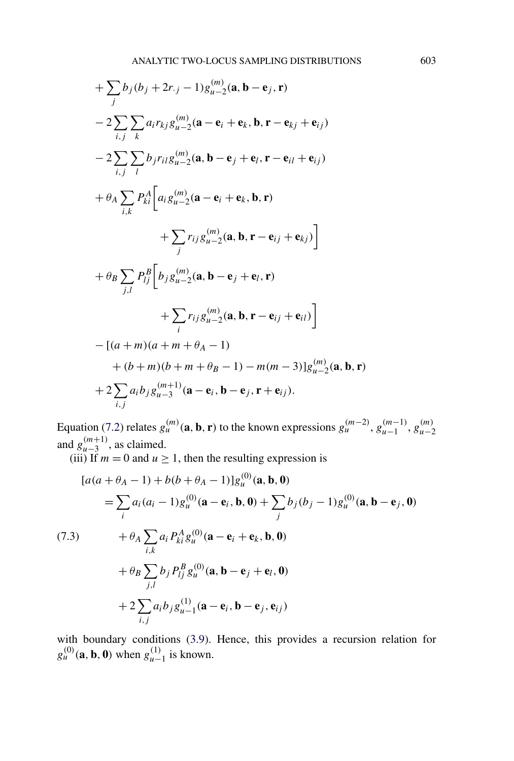<span id="page-27-0"></span>+ 
$$
\sum_{j} b_{j} (b_{j} + 2r_{\cdot j} - 1) g_{u-2}^{(m)}(\mathbf{a}, \mathbf{b} - \mathbf{e}_{j}, \mathbf{r})
$$
  
\n-  $2 \sum_{i,j} \sum_{k} a_{i} r_{kj} g_{u-2}^{(m)}(\mathbf{a} - \mathbf{e}_{i} + \mathbf{e}_{k}, \mathbf{b}, \mathbf{r} - \mathbf{e}_{kj} + \mathbf{e}_{ij})$   
\n-  $2 \sum_{i,j} \sum_{l} b_{j} r_{il} g_{u-2}^{(m)}(\mathbf{a}, \mathbf{b} - \mathbf{e}_{j} + \mathbf{e}_{l}, \mathbf{r} - \mathbf{e}_{il} + \mathbf{e}_{ij})$   
\n+  $\theta_{A} \sum_{i,k} P_{ki}^{A} \Big[ a_{i} g_{u-2}^{(m)}(\mathbf{a} - \mathbf{e}_{i} + \mathbf{e}_{k}, \mathbf{b}, \mathbf{r})$   
\n+  $\sum_{j} r_{ij} g_{u-2}^{(m)}(\mathbf{a}, \mathbf{b}, \mathbf{r} - \mathbf{e}_{ij} + \mathbf{e}_{kj}) \Big]$   
\n+  $\theta_{B} \sum_{j,l} P_{lj}^{B} \Big[ b_{j} g_{u-2}^{(m)}(\mathbf{a}, \mathbf{b} - \mathbf{e}_{j} + \mathbf{e}_{l}, \mathbf{r})$   
\n+  $\sum_{i} r_{ij} g_{u-2}^{(m)}(\mathbf{a}, \mathbf{b}, \mathbf{r} - \mathbf{e}_{ij} + \mathbf{e}_{il}) \Big]$   
\n-  $[(a + m)(a + m + \theta_{A} - 1)$   
\n+  $(b + m)(b + m + \theta_{B} - 1) - m(m - 3)] g_{u-2}^{(m)}(\mathbf{a}, \mathbf{b}, \mathbf{r})$   
\n+  $2 \sum_{i,j} a_{i} b_{j} g_{u-3}^{(m+1)}(\mathbf{a} - \mathbf{e}_{i}, \mathbf{b} - \mathbf{e}_{j}, \mathbf{r} + \mathbf{e}_{ij}).$ 

Equation [\(7.2\)](#page-26-0) relates  $g_u^{(m)}(\mathbf{a}, \mathbf{b}, \mathbf{r})$  to the known expressions  $g_u^{(m-2)}$ ,  $g_{u-1}^{(m-1)}$ ,  $g_{u-2}^{(m)}$ and  $g_{u-3}^{(m+1)}$ , as claimed.

(iii) If  $m = 0$  and  $u \ge 1$ , then the resulting expression is

$$
[a(a + \theta_{A} - 1) + b(b + \theta_{A} - 1)]g_{u}^{(0)}(\mathbf{a}, \mathbf{b}, \mathbf{0})
$$
  
\n
$$
= \sum_{i} a_{i}(a_{i} - 1)g_{u}^{(0)}(\mathbf{a} - \mathbf{e}_{i}, \mathbf{b}, \mathbf{0}) + \sum_{j} b_{j}(b_{j} - 1)g_{u}^{(0)}(\mathbf{a}, \mathbf{b} - \mathbf{e}_{j}, \mathbf{0})
$$
  
\n(7.3) 
$$
+ \theta_{A} \sum_{i,k} a_{i} P_{ki}^{A} g_{u}^{(0)}(\mathbf{a} - \mathbf{e}_{i} + \mathbf{e}_{k}, \mathbf{b}, \mathbf{0})
$$
  
\n
$$
+ \theta_{B} \sum_{j,l} b_{j} P_{lj}^{B} g_{u}^{(0)}(\mathbf{a}, \mathbf{b} - \mathbf{e}_{j} + \mathbf{e}_{l}, \mathbf{0})
$$
  
\n
$$
+ 2 \sum_{i,j} a_{i} b_{j} g_{u-1}^{(1)}(\mathbf{a} - \mathbf{e}_{i}, \mathbf{b} - \mathbf{e}_{j}, \mathbf{e}_{ij})
$$

with boundary conditions [\(3.9\)](#page-10-0). Hence, this provides a recursion relation for  $g_u^{(0)}(\mathbf{a}, \mathbf{b}, \mathbf{0})$  when  $g_{u-1}^{(1)}$  is known.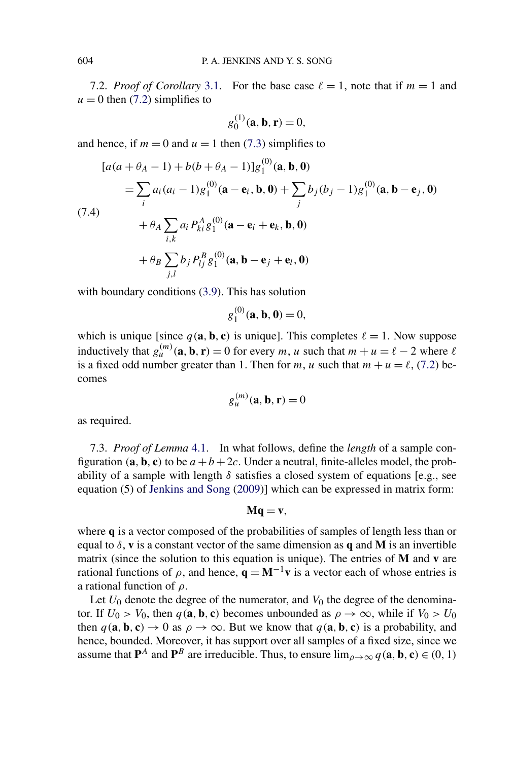7.2. *Proof of Corollary* [3.1.](#page-12-0) For the base case  $\ell = 1$ , note that if  $m = 1$  and  $u = 0$  then [\(7.2\)](#page-26-0) simplifies to

$$
g_0^{(1)}(\mathbf{a}, \mathbf{b}, \mathbf{r}) = 0,
$$

and hence, if  $m = 0$  and  $u = 1$  then [\(7.3\)](#page-27-0) simplifies to

$$
[a(a + \theta_A - 1) + b(b + \theta_A - 1)]g_1^{(0)}(\mathbf{a}, \mathbf{b}, \mathbf{0})
$$
  
=  $\sum_i a_i (a_i - 1)g_1^{(0)}(\mathbf{a} - \mathbf{e}_i, \mathbf{b}, \mathbf{0}) + \sum_j b_j (b_j - 1)g_1^{(0)}(\mathbf{a}, \mathbf{b} - \mathbf{e}_j, \mathbf{0})$   
(7.4)  

$$
+ \theta_A \sum_{i,k} a_i P_{ki}^A g_1^{(0)}(\mathbf{a} - \mathbf{e}_i + \mathbf{e}_k, \mathbf{b}, \mathbf{0})
$$
  

$$
+ \theta_B \sum_{j,l} b_j P_{lj}^B g_1^{(0)}(\mathbf{a}, \mathbf{b} - \mathbf{e}_j + \mathbf{e}_l, \mathbf{0})
$$

with boundary conditions  $(3.9)$ . This has solution

$$
g_1^{(0)}(\mathbf{a}, \mathbf{b}, 0) = 0,
$$

which is unique [since  $q(\mathbf{a}, \mathbf{b}, \mathbf{c})$  is unique]. This completes  $\ell = 1$ . Now suppose inductively that  $g_u^{(m)}(\mathbf{a}, \mathbf{b}, \mathbf{r}) = 0$  for every *m*, *u* such that  $m + u = \ell - 2$  where  $\ell$ is a fixed odd number greater than 1. Then for *m*, *u* such that  $m + u = \ell$ , [\(7.2\)](#page-26-0) becomes

$$
g_u^{(m)}(\mathbf{a}, \mathbf{b}, \mathbf{r}) = 0
$$

as required.

7.3. *Proof of Lemma* [4.1.](#page-15-0) In what follows, define the *length* of a sample configuration  $(**a**, **b**, **c**)$  to be  $a + b + 2c$ . Under a neutral, finite-alleles model, the probability of a sample with length  $\delta$  satisfies a closed system of equations [e.g., see equation (5) of [Jenkins and Song](#page-31-0) [\(2009\)](#page-31-0)] which can be expressed in matrix form:

$$
Mq=v,
$$

where **q** is a vector composed of the probabilities of samples of length less than or equal to *δ*, **v** is a constant vector of the same dimension as **q** and **M** is an invertible matrix (since the solution to this equation is unique). The entries of **M** and **v** are rational functions of  $\rho$ , and hence,  $\mathbf{q} = \mathbf{M}^{-1}\mathbf{v}$  is a vector each of whose entries is a rational function of *ρ*.

Let  $U_0$  denote the degree of the numerator, and  $V_0$  the degree of the denominator. If  $U_0 > V_0$ , then  $q(\mathbf{a}, \mathbf{b}, \mathbf{c})$  becomes unbounded as  $\rho \to \infty$ , while if  $V_0 > U_0$ then  $q(\mathbf{a}, \mathbf{b}, \mathbf{c}) \rightarrow 0$  as  $\rho \rightarrow \infty$ . But we know that  $q(\mathbf{a}, \mathbf{b}, \mathbf{c})$  is a probability, and hence, bounded. Moreover, it has support over all samples of a fixed size, since we assume that  $P^A$  and  $P^B$  are irreducible. Thus, to ensure  $\lim_{\rho \to \infty} q(\mathbf{a}, \mathbf{b}, \mathbf{c}) \in (0, 1)$ 

<span id="page-28-0"></span>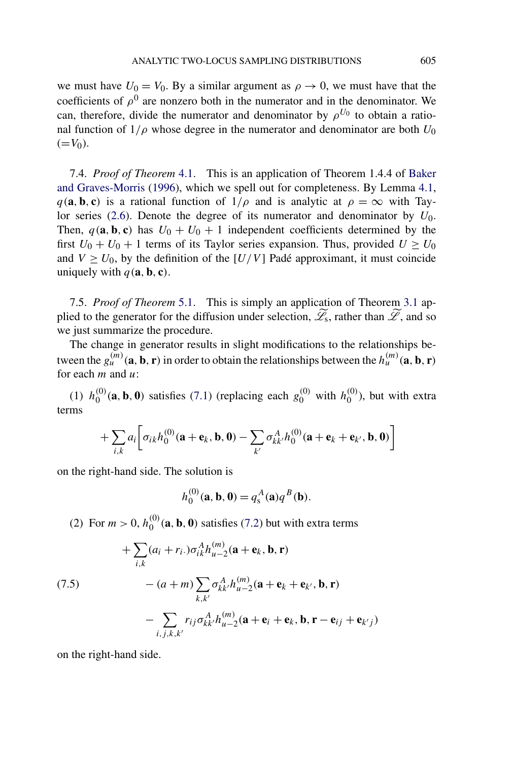<span id="page-29-0"></span>we must have  $U_0 = V_0$ . By a similar argument as  $\rho \to 0$ , we must have that the coefficients of  $\rho^0$  are nonzero both in the numerator and in the denominator. We can, therefore, divide the numerator and denominator by  $\rho^{U_0}$  to obtain a rational function of  $1/\rho$  whose degree in the numerator and denominator are both  $U_0$  $(=V_0)$ .

7.4. *Proof of Theorem* [4.1.](#page-15-0) This is an application of Theorem 1.4.4 of [Baker](#page-30-0) [and Graves-Morris](#page-30-0) [\(1996\)](#page-30-0), which we spell out for completeness. By Lemma [4.1,](#page-15-0)  $q(\mathbf{a}, \mathbf{b}, \mathbf{c})$  is a rational function of  $1/\rho$  and is analytic at  $\rho = \infty$  with Taylor series  $(2.6)$ . Denote the degree of its numerator and denominator by  $U_0$ . Then,  $q(\mathbf{a}, \mathbf{b}, \mathbf{c})$  has  $U_0 + U_0 + 1$  independent coefficients determined by the first  $U_0 + U_0 + 1$  terms of its Taylor series expansion. Thus, provided  $U \ge U_0$ and  $V \ge U_0$ , by the definition of the  $[U/V]$  Padé approximant, it must coincide uniquely with  $q$  (**a***,* **b***,* **c**).

7.5. *Proof of Theorem* [5.1.](#page-17-0) This is simply an application of Theorem [3.1](#page-11-0) applied to the generator for the diffusion under selection,  $\widetilde{\mathscr{L}}_s$ , rather than  $\widetilde{\mathscr{L}}$ , and so we just summarize the procedure.

The change in generator results in slight modifications to the relationships between the  $g_u^{(m)}(a, b, r)$  in order to obtain the relationships between the  $h_u^{(m)}(a, b, r)$ for each *m* and *u*:

(1)  $h_0^{(0)}(a, b, 0)$  satisfies [\(7.1\)](#page-26-0) (replacing each  $g_0^{(0)}$  with  $h_0^{(0)}$ ), but with extra terms

$$
+\sum_{i,k} a_i \bigg[\sigma_{ik}h_0^{(0)}(\mathbf{a}+\mathbf{e}_k,\mathbf{b},\mathbf{0})-\sum_{k'}\sigma_{kk'}^A h_0^{(0)}(\mathbf{a}+\mathbf{e}_k+\mathbf{e}_{k'},\mathbf{b},\mathbf{0})\bigg]
$$

on the right-hand side. The solution is

$$
h_0^{(0)}(\mathbf{a}, \mathbf{b}, 0) = q_s^A(\mathbf{a}) q^B(\mathbf{b}).
$$

(2) For  $m > 0$ ,  $h_0^{(0)}(a, b, 0)$  satisfies [\(7.2\)](#page-26-0) but with extra terms

$$
+ \sum_{i,k} (a_i + r_i.) \sigma_{ik}^A h_{u-2}^{(m)}(\mathbf{a} + \mathbf{e}_k, \mathbf{b}, \mathbf{r})
$$
  
(7.5)
$$
- (a + m) \sum_{k,k'} \sigma_{kk'}^A h_{u-2}^{(m)}(\mathbf{a} + \mathbf{e}_k + \mathbf{e}_{k'}, \mathbf{b}, \mathbf{r})
$$

$$
- \sum_{i,j,k,k'} r_{ij} \sigma_{kk'}^A h_{u-2}^{(m)}(\mathbf{a} + \mathbf{e}_i + \mathbf{e}_k, \mathbf{b}, \mathbf{r} - \mathbf{e}_{ij} + \mathbf{e}_{k'j})
$$

on the right-hand side.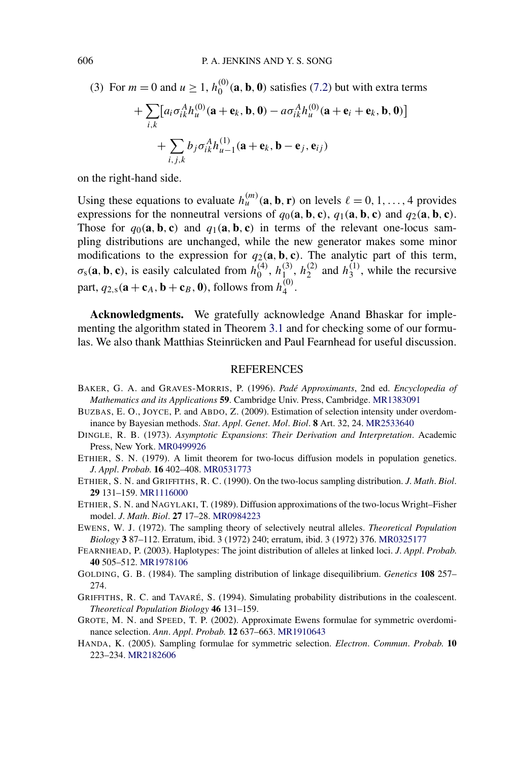(3) For  $m = 0$  and  $u \ge 1$ ,  $h_0^{(0)}(a, b, 0)$  satisfies [\(7.2\)](#page-26-0) but with extra terms

+
$$
\sum_{i,k} [a_i \sigma_{ik}^A h_u^{(0)}(\mathbf{a} + \mathbf{e}_k, \mathbf{b}, \mathbf{0}) - a \sigma_{ik}^A h_u^{(0)}(\mathbf{a} + \mathbf{e}_i + \mathbf{e}_k, \mathbf{b}, \mathbf{0})]
$$
  
+
$$
\sum_{i,j,k} b_j \sigma_{ik}^A h_{u-1}^{(1)}(\mathbf{a} + \mathbf{e}_k, \mathbf{b} - \mathbf{e}_j, \mathbf{e}_{ij})
$$

on the right-hand side.

Using these equations to evaluate  $h_u^{(m)}(a, b, r)$  on levels  $\ell = 0, 1, \ldots, 4$  provides expressions for the nonneutral versions of  $q_0(\mathbf{a}, \mathbf{b}, \mathbf{c})$ ,  $q_1(\mathbf{a}, \mathbf{b}, \mathbf{c})$  and  $q_2(\mathbf{a}, \mathbf{b}, \mathbf{c})$ . Those for  $q_0(\mathbf{a}, \mathbf{b}, \mathbf{c})$  and  $q_1(\mathbf{a}, \mathbf{b}, \mathbf{c})$  in terms of the relevant one-locus sampling distributions are unchanged, while the new generator makes some minor modifications to the expression for  $q_2(\mathbf{a}, \mathbf{b}, \mathbf{c})$ . The analytic part of this term,  $\sigma_s(\mathbf{a}, \mathbf{b}, \mathbf{c})$ , is easily calculated from  $h_0^{(4)}$ ,  $h_{1}^{(3)}$ ,  $h_2^{(2)}$  and  $h_3^{(1)}$ , while the recursive part,  $q_{2,s}(\mathbf{a} + \mathbf{c}_A, \mathbf{b} + \mathbf{c}_B, \mathbf{0})$ , follows from  $h_4^{(0)}$ .

**Acknowledgments.** We gratefully acknowledge Anand Bhaskar for implementing the algorithm stated in Theorem [3.1](#page-11-0) and for checking some of our formulas. We also thank Matthias Steinrücken and Paul Fearnhead for useful discussion.

### REFERENCES

- BAKER, G. A. and GRAVES-MORRIS, P. (1996). *Padé Approximants*, 2nd ed. *Encyclopedia of Mathematics and its Applications* **59**. Cambridge Univ. Press, Cambridge. [MR1383091](http://www.ams.org/mathscinet-getitem?mr=1383091)
- BUZBAS, E. O., JOYCE, P. and ABDO, Z. (2009). Estimation of selection intensity under overdominance by Bayesian methods. *Stat*. *Appl*. *Genet*. *Mol*. *Biol*. **8** Art. 32, 24. [MR2533640](http://www.ams.org/mathscinet-getitem?mr=2533640)
- DINGLE, R. B. (1973). *Asymptotic Expansions*: *Their Derivation and Interpretation*. Academic Press, New York. [MR0499926](http://www.ams.org/mathscinet-getitem?mr=0499926)
- ETHIER, S. N. (1979). A limit theorem for two-locus diffusion models in population genetics. *J*. *Appl*. *Probab*. **16** 402–408. [MR0531773](http://www.ams.org/mathscinet-getitem?mr=0531773)
- ETHIER, S. N. and GRIFFITHS, R. C. (1990). On the two-locus sampling distribution. *J*. *Math*. *Biol*. **29** 131–159. [MR1116000](http://www.ams.org/mathscinet-getitem?mr=1116000)
- ETHIER, S. N. and NAGYLAKI, T. (1989). Diffusion approximations of the two-locus Wright–Fisher model. *J*. *Math*. *Biol*. **27** 17–28. [MR0984223](http://www.ams.org/mathscinet-getitem?mr=0984223)
- EWENS, W. J. (1972). The sampling theory of selectively neutral alleles. *Theoretical Population Biology* **3** 87–112. Erratum, ibid. 3 (1972) 240; erratum, ibid. 3 (1972) 376. [MR0325177](http://www.ams.org/mathscinet-getitem?mr=0325177)
- FEARNHEAD, P. (2003). Haplotypes: The joint distribution of alleles at linked loci. *J*. *Appl*. *Probab*. **40** 505–512. [MR1978106](http://www.ams.org/mathscinet-getitem?mr=1978106)
- GOLDING, G. B. (1984). The sampling distribution of linkage disequilibrium. *Genetics* **108** 257– 274.
- GRIFFITHS, R. C. and TAVARÉ, S. (1994). Simulating probability distributions in the coalescent. *Theoretical Population Biology* **46** 131–159.
- GROTE, M. N. and SPEED, T. P. (2002). Approximate Ewens formulae for symmetric overdominance selection. *Ann*. *Appl*. *Probab*. **12** 637–663. [MR1910643](http://www.ams.org/mathscinet-getitem?mr=1910643)
- HANDA, K. (2005). Sampling formulae for symmetric selection. *Electron*. *Commun*. *Probab*. **10** 223–234. [MR2182606](http://www.ams.org/mathscinet-getitem?mr=2182606)

<span id="page-30-0"></span>